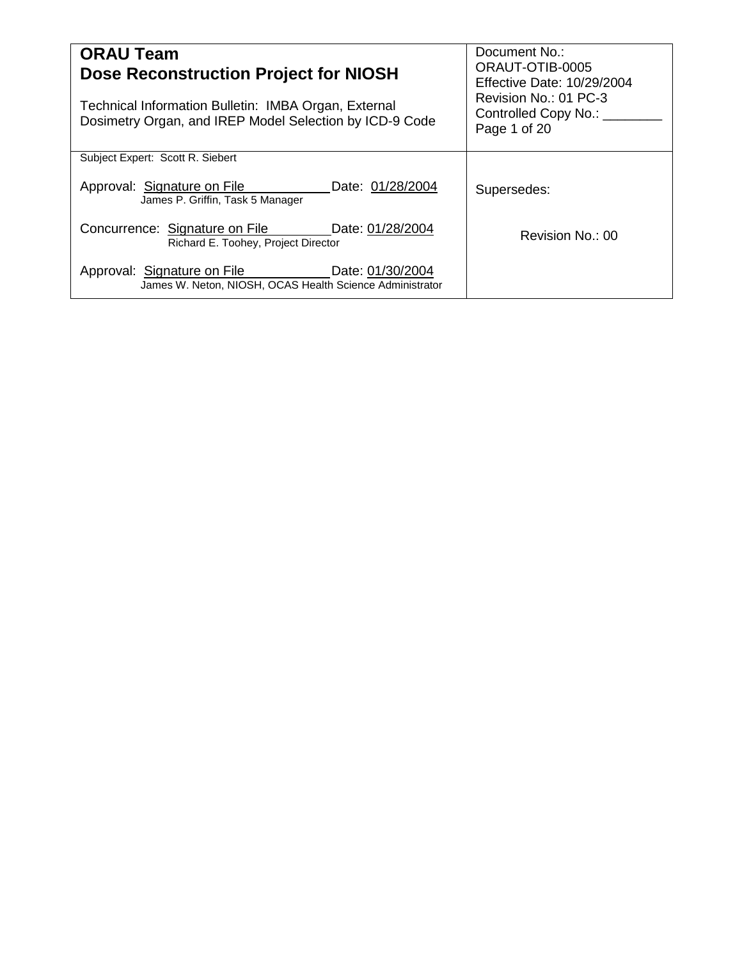| <b>ORAU Team</b><br>Dose Reconstruction Project for NIOSH                                                       | Document No.:<br>ORAUT-OTIB-0005<br>Effective Date: 10/29/2004    |
|-----------------------------------------------------------------------------------------------------------------|-------------------------------------------------------------------|
| Technical Information Bulletin: IMBA Organ, External<br>Dosimetry Organ, and IREP Model Selection by ICD-9 Code | Revision No.: 01 PC-3<br>Controlled Copy No.: ___<br>Page 1 of 20 |
| Subject Expert: Scott R. Siebert                                                                                |                                                                   |
| Approval: Signature on File<br>Date: 01/28/2004<br>James P. Griffin, Task 5 Manager                             | Supersedes:                                                       |
| Date: 01/28/2004<br>Concurrence: Signature on File<br>Richard E. Toohey, Project Director                       | Revision No.: 00                                                  |
| Approval: Signature on File<br>Date: 01/30/2004<br>James W. Neton, NIOSH, OCAS Health Science Administrator     |                                                                   |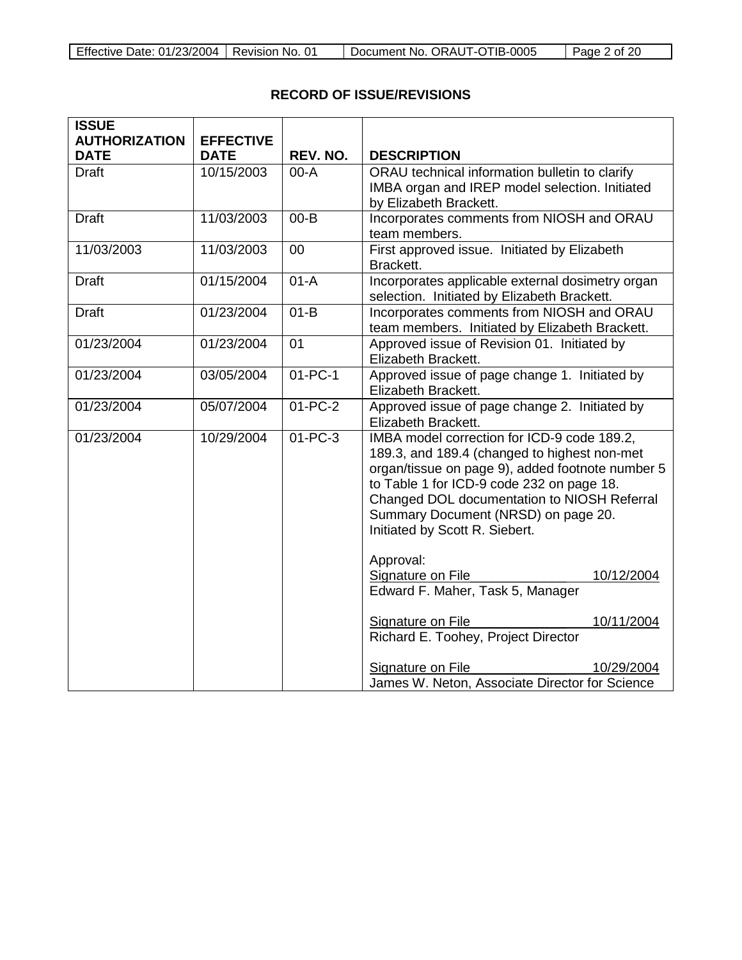| Effective Date: 01/23/2004   Revision No. 01 |  | Document No. ORAUT-OTIB-0005 | $\vert$ Page 2 of 20 |
|----------------------------------------------|--|------------------------------|----------------------|
|----------------------------------------------|--|------------------------------|----------------------|

# **RECORD OF ISSUE/REVISIONS**

| <b>ISSUE</b>         |                  |               |                                                                                                  |  |
|----------------------|------------------|---------------|--------------------------------------------------------------------------------------------------|--|
| <b>AUTHORIZATION</b> | <b>EFFECTIVE</b> |               |                                                                                                  |  |
| <b>DATE</b>          | <b>DATE</b>      | REV. NO.      | <b>DESCRIPTION</b>                                                                               |  |
| <b>Draft</b>         | 10/15/2003       | $00-A$        | ORAU technical information bulletin to clarify                                                   |  |
|                      |                  |               | IMBA organ and IREP model selection. Initiated                                                   |  |
|                      |                  |               | by Elizabeth Brackett.                                                                           |  |
| <b>Draft</b>         | 11/03/2003       | $00 - B$      | Incorporates comments from NIOSH and ORAU<br>team members.                                       |  |
| 11/03/2003           | 11/03/2003       | 00            | First approved issue. Initiated by Elizabeth<br>Brackett.                                        |  |
| <b>Draft</b>         | 01/15/2004       | $01-A$        | Incorporates applicable external dosimetry organ<br>selection. Initiated by Elizabeth Brackett.  |  |
| <b>Draft</b>         | 01/23/2004       | $01-B$        | Incorporates comments from NIOSH and ORAU<br>team members. Initiated by Elizabeth Brackett.      |  |
| 01/23/2004           | 01/23/2004       | 01            | Approved issue of Revision 01. Initiated by<br>Elizabeth Brackett.                               |  |
| 01/23/2004           | 03/05/2004       | $01 - PC - 1$ | Approved issue of page change 1. Initiated by<br>Elizabeth Brackett.                             |  |
| 01/23/2004           | 05/07/2004       | $01 - PC - 2$ | Approved issue of page change 2. Initiated by<br>Elizabeth Brackett.                             |  |
| 01/23/2004           | 10/29/2004       | $01 - PC - 3$ | IMBA model correction for ICD-9 code 189.2,                                                      |  |
|                      |                  |               | 189.3, and 189.4 (changed to highest non-met<br>organ/tissue on page 9), added footnote number 5 |  |
|                      |                  |               | to Table 1 for ICD-9 code 232 on page 18.                                                        |  |
|                      |                  |               | Changed DOL documentation to NIOSH Referral                                                      |  |
|                      |                  |               | Summary Document (NRSD) on page 20.                                                              |  |
|                      |                  |               | Initiated by Scott R. Siebert.                                                                   |  |
|                      |                  |               | Approval:                                                                                        |  |
|                      |                  |               | Signature on File<br>10/12/2004                                                                  |  |
|                      |                  |               | Edward F. Maher, Task 5, Manager                                                                 |  |
|                      |                  |               | Signature on File<br>10/11/2004                                                                  |  |
|                      |                  |               | Richard E. Toohey, Project Director                                                              |  |
|                      |                  |               | Signature on File<br>10/29/2004                                                                  |  |
|                      |                  |               | James W. Neton, Associate Director for Science                                                   |  |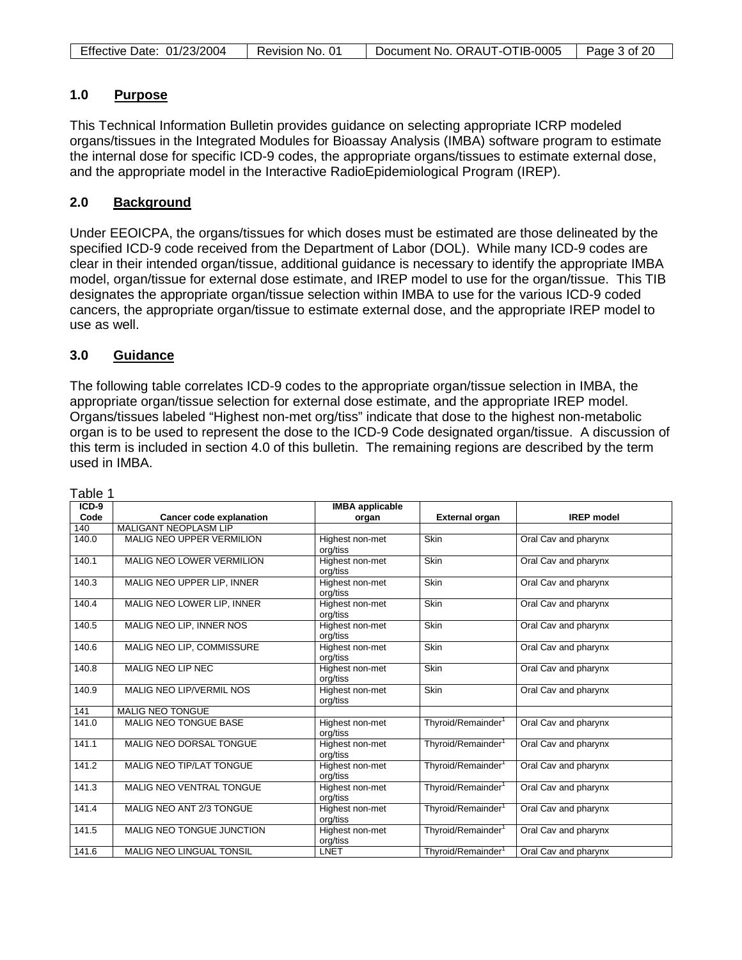| Effective Date: 01/23/2004 | Revision No. | Document No. ORAUT-OTIB-0005 | Page 3 of 20 |
|----------------------------|--------------|------------------------------|--------------|

# **1.0 Purpose**

This Technical Information Bulletin provides guidance on selecting appropriate ICRP modeled organs/tissues in the Integrated Modules for Bioassay Analysis (IMBA) software program to estimate the internal dose for specific ICD-9 codes, the appropriate organs/tissues to estimate external dose, and the appropriate model in the Interactive RadioEpidemiological Program (IREP).

# **2.0 Background**

Under EEOICPA, the organs/tissues for which doses must be estimated are those delineated by the specified ICD-9 code received from the Department of Labor (DOL). While many ICD-9 codes are clear in their intended organ/tissue, additional guidance is necessary to identify the appropriate IMBA model, organ/tissue for external dose estimate, and IREP model to use for the organ/tissue. This TIB designates the appropriate organ/tissue selection within IMBA to use for the various ICD-9 coded cancers, the appropriate organ/tissue to estimate external dose, and the appropriate IREP model to use as well.

# **3.0 Guidance**

The following table correlates ICD-9 codes to the appropriate organ/tissue selection in IMBA, the appropriate organ/tissue selection for external dose estimate, and the appropriate IREP model. Organs/tissues labeled "Highest non-met org/tiss" indicate that dose to the highest non-metabolic organ is to be used to represent the dose to the ICD-9 Code designated organ/tissue. A discussion of this term is included in section 4.0 of this bulletin. The remaining regions are described by the term used in IMBA.

| $ICD-9$ |                                  | <b>IMBA</b> applicable      |                                |                      |
|---------|----------------------------------|-----------------------------|--------------------------------|----------------------|
| Code    | <b>Cancer code explanation</b>   | organ                       | <b>External organ</b>          | <b>IREP</b> model    |
| 140     | <b>MALIGANT NEOPLASM LIP</b>     |                             |                                |                      |
| 140.0   | <b>MALIG NEO UPPER VERMILION</b> | Highest non-met<br>org/tiss | Skin                           | Oral Cav and pharynx |
| 140.1   | <b>MALIG NEO LOWER VERMILION</b> | Highest non-met<br>org/tiss | Skin                           | Oral Cav and pharynx |
| 140.3   | MALIG NEO UPPER LIP, INNER       | Highest non-met<br>org/tiss | Skin                           | Oral Cav and pharynx |
| 140.4   | MALIG NEO LOWER LIP, INNER       | Highest non-met<br>org/tiss | Skin                           | Oral Cav and pharynx |
| 140.5   | MALIG NEO LIP, INNER NOS         | Highest non-met<br>org/tiss | <b>Skin</b>                    | Oral Cav and pharynx |
| 140.6   | MALIG NEO LIP, COMMISSURE        | Highest non-met<br>org/tiss | Skin                           | Oral Cav and pharynx |
| 140.8   | MALIG NEO LIP NEC                | Highest non-met<br>org/tiss | Skin                           | Oral Cav and pharynx |
| 140.9   | MALIG NEO LIP/VERMIL NOS         | Highest non-met<br>org/tiss | Skin                           | Oral Cav and pharynx |
| 141     | <b>MALIG NEO TONGUE</b>          |                             |                                |                      |
| 141.0   | <b>MALIG NEO TONGUE BASE</b>     | Highest non-met<br>org/tiss | Thyroid/Remainder <sup>1</sup> | Oral Cav and pharynx |
| 141.1   | MALIG NEO DORSAL TONGUE          | Highest non-met<br>org/tiss | Thyroid/Remainder <sup>1</sup> | Oral Cav and pharynx |
| 141.2   | <b>MALIG NEO TIP/LAT TONGUE</b>  | Highest non-met<br>org/tiss | Thyroid/Remainder <sup>1</sup> | Oral Cav and pharynx |
| 141.3   | <b>MALIG NEO VENTRAL TONGUE</b>  | Highest non-met<br>org/tiss | Thyroid/Remainder <sup>1</sup> | Oral Cav and pharynx |
| 141.4   | MALIG NEO ANT 2/3 TONGUE         | Highest non-met<br>org/tiss | Thyroid/Remainder <sup>1</sup> | Oral Cav and pharynx |
| 141.5   | MALIG NEO TONGUE JUNCTION        | Highest non-met<br>org/tiss | Thyroid/Remainder <sup>1</sup> | Oral Cav and pharynx |
| 141.6   | <b>MALIG NEO LINGUAL TONSIL</b>  | <b>LNET</b>                 | Thyroid/Remainder <sup>1</sup> | Oral Cav and pharynx |

Table 1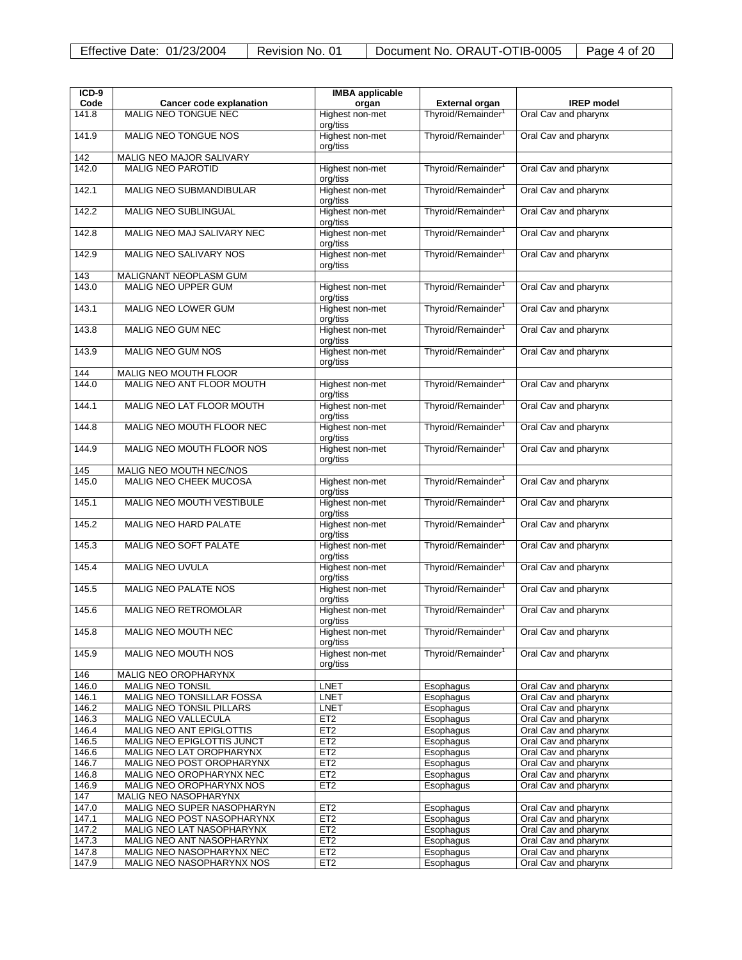| $ICD-9$        |                                                        | <b>IMBA</b> applicable      |                                |                                              |
|----------------|--------------------------------------------------------|-----------------------------|--------------------------------|----------------------------------------------|
| Code           | <b>Cancer code explanation</b>                         | organ                       | <b>External organ</b>          | <b>IREP</b> model                            |
| 141.8          | <b>MALIG NEO TONGUE NEC</b>                            | Highest non-met             | Thyroid/Remainder <sup>1</sup> | Oral Cav and pharynx                         |
|                |                                                        | org/tiss                    |                                |                                              |
| 141.9          | MALIG NEO TONGUE NOS                                   | Highest non-met             | Thyroid/Remainder <sup>1</sup> | Oral Cav and pharynx                         |
|                |                                                        | org/tiss                    |                                |                                              |
| 142<br>142.0   | MALIG NEO MAJOR SALIVARY<br><b>MALIG NEO PAROTID</b>   |                             | Thyroid/Remainder <sup>1</sup> | Oral Cav and pharynx                         |
|                |                                                        | Highest non-met<br>org/tiss |                                |                                              |
| 142.1          | MALIG NEO SUBMANDIBULAR                                | Highest non-met             | Thyroid/Remainder <sup>1</sup> | Oral Cav and pharynx                         |
|                |                                                        | org/tiss                    |                                |                                              |
| 142.2          | <b>MALIG NEO SUBLINGUAL</b>                            | Highest non-met             | Thyroid/Remainder <sup>1</sup> | Oral Cav and pharynx                         |
|                |                                                        | org/tiss                    |                                |                                              |
| 142.8          | MALIG NEO MAJ SALIVARY NEC                             | Highest non-met             | Thyroid/Remainder <sup>1</sup> | Oral Cav and pharynx                         |
|                |                                                        | org/tiss                    |                                |                                              |
| 142.9          | MALIG NEO SALIVARY NOS                                 | Highest non-met             | Thyroid/Remainder <sup>1</sup> | Oral Cav and pharynx                         |
| 143            | MALIGNANT NEOPLASM GUM                                 | org/tiss                    |                                |                                              |
| 143.0          | <b>MALIG NEO UPPER GUM</b>                             | Highest non-met             | Thyroid/Remainder <sup>1</sup> | Oral Cav and pharynx                         |
|                |                                                        | org/tiss                    |                                |                                              |
| 143.1          | MALIG NEO LOWER GUM                                    | Highest non-met             | Thyroid/Remainder <sup>1</sup> | Oral Cav and pharynx                         |
|                |                                                        | org/tiss                    |                                |                                              |
| 143.8          | <b>MALIG NEO GUM NEC</b>                               | Highest non-met             | Thyroid/Remainder <sup>1</sup> | Oral Cav and pharynx                         |
|                |                                                        | org/tiss                    |                                |                                              |
| 143.9          | MALIG NEO GUM NOS                                      | Highest non-met<br>org/tiss | Thyroid/Remainder <sup>1</sup> | Oral Cav and pharynx                         |
| 144            | MALIG NEO MOUTH FLOOR                                  |                             |                                |                                              |
| 144.0          | MALIG NEO ANT FLOOR MOUTH                              | Highest non-met             | Thyroid/Remainder <sup>1</sup> | Oral Cav and pharynx                         |
|                |                                                        | org/tiss                    |                                |                                              |
| 144.1          | MALIG NEO LAT FLOOR MOUTH                              | Highest non-met             | Thyroid/Remainder <sup>1</sup> | Oral Cav and pharynx                         |
|                |                                                        | org/tiss                    |                                |                                              |
| 144.8          | MALIG NEO MOUTH FLOOR NEC                              | Highest non-met             | Thyroid/Remainder <sup>1</sup> | Oral Cav and pharynx                         |
|                |                                                        | org/tiss                    |                                |                                              |
| 144.9          | MALIG NEO MOUTH FLOOR NOS                              | Highest non-met             | Thyroid/Remainder <sup>1</sup> | Oral Cav and pharynx                         |
| 145            | MALIG NEO MOUTH NEC/NOS                                | org/tiss                    |                                |                                              |
| 145.0          | MALIG NEO CHEEK MUCOSA                                 | Highest non-met             | Thyroid/Remainder <sup>1</sup> | Oral Cav and pharynx                         |
|                |                                                        | org/tiss                    |                                |                                              |
| 145.1          | MALIG NEO MOUTH VESTIBULE                              | Highest non-met             | Thyroid/Remainder <sup>1</sup> | Oral Cav and pharynx                         |
|                |                                                        | org/tiss                    |                                |                                              |
| 145.2          | MALIG NEO HARD PALATE                                  | Highest non-met             | Thyroid/Remainder <sup>1</sup> | Oral Cav and pharynx                         |
|                |                                                        | org/tiss                    |                                |                                              |
| 145.3          | <b>MALIG NEO SOFT PALATE</b>                           | Highest non-met<br>org/tiss | Thyroid/Remainder <sup>1</sup> | Oral Cav and pharynx                         |
| 145.4          | MALIG NEO UVULA                                        | Highest non-met             | Thyroid/Remainder <sup>1</sup> | Oral Cav and pharynx                         |
|                |                                                        | org/tiss                    |                                |                                              |
| 145.5          | MALIG NEO PALATE NOS                                   | Highest non-met             | Thyroid/Remainder <sup>1</sup> | Oral Cav and pharynx                         |
|                |                                                        | org/tiss                    |                                |                                              |
| 145.6          | <b>MALIG NEO RETROMOLAR</b>                            | Highest non-met             | Thyroid/Remainder <sup>1</sup> | Oral Cav and pharynx                         |
|                |                                                        | org/tiss                    |                                |                                              |
| 145.8          | MALIG NEO MOUTH NEC                                    | Highest non-met<br>org/tiss | Thyroid/Remainder <sup>.</sup> | Oral Cav and pharynx                         |
| 145.9          | MALIG NEO MOUTH NOS                                    | Highest non-met             | Thyroid/Remainder <sup>1</sup> | Oral Cav and pharynx                         |
|                |                                                        | org/tiss                    |                                |                                              |
| 146            | MALIG NEO OROPHARYNX                                   |                             |                                |                                              |
| 146.0          | <b>MALIG NEO TONSIL</b>                                | <b>LNET</b>                 | Esophagus                      | Oral Cav and pharynx                         |
| 146.1          | MALIG NEO TONSILLAR FOSSA                              | <b>LNET</b>                 | Esophagus                      | Oral Cav and pharynx                         |
| 146.2          | MALIG NEO TONSIL PILLARS                               | <b>LNET</b>                 | Esophagus                      | Oral Cav and pharynx                         |
| 146.3          | <b>MALIG NEO VALLECULA</b>                             | ET2                         | Esophagus                      | Oral Cav and pharynx                         |
| 146.4          | MALIG NEO ANT EPIGLOTTIS<br>MALIG NEO EPIGLOTTIS JUNCT | ET2<br>ET2                  | Esophagus                      | Oral Cav and pharynx                         |
| 146.5<br>146.6 | MALIG NEO LAT OROPHARYNX                               | ET <sub>2</sub>             | Esophagus<br>Esophagus         | Oral Cav and pharynx<br>Oral Cav and pharynx |
| 146.7          | MALIG NEO POST OROPHARYNX                              | ET2                         | Esophagus                      | Oral Cav and pharynx                         |
| 146.8          | MALIG NEO OROPHARYNX NEC                               | ET <sub>2</sub>             | Esophagus                      | Oral Cav and pharynx                         |
| 146.9          | MALIG NEO OROPHARYNX NOS                               | ET <sub>2</sub>             | Esophagus                      | Oral Cav and pharynx                         |
| 147            | MALIG NEO NASOPHARYNX                                  |                             |                                |                                              |
| 147.0          | MALIG NEO SUPER NASOPHARYN                             | ET <sub>2</sub>             | Esophagus                      | Oral Cav and pharynx                         |
| 147.1          | MALIG NEO POST NASOPHARYNX                             | ET <sub>2</sub>             | Esophagus                      | Oral Cav and pharynx                         |
| 147.2          | MALIG NEO LAT NASOPHARYNX                              | ET <sub>2</sub>             | Esophagus                      | Oral Cav and pharynx                         |
| 147.3          | MALIG NEO ANT NASOPHARYNX                              | ET <sub>2</sub>             | Esophagus                      | Oral Cav and pharynx                         |
| 147.8          | MALIG NEO NASOPHARYNX NEC                              | ET <sub>2</sub>             | Esophagus                      | Oral Cav and pharynx                         |
| 147.9          | MALIG NEO NASOPHARYNX NOS                              | ET <sub>2</sub>             | Esophagus                      | Oral Cav and pharynx                         |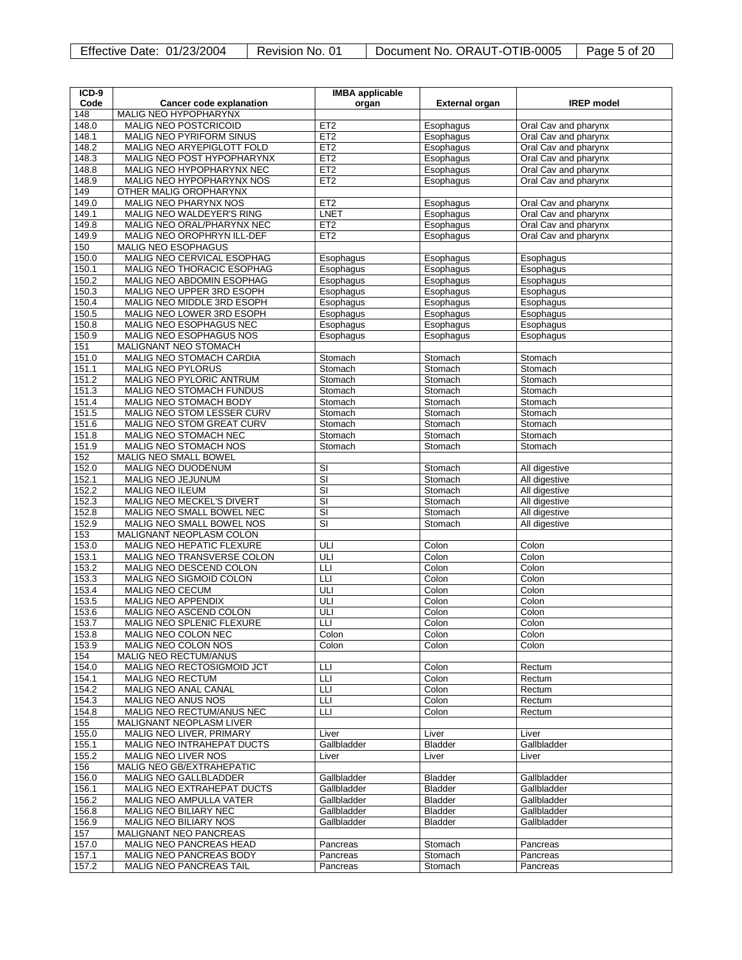| Effective Date: 01/23/2004 | Revision No. 01 | Document No. ORAUT-OTIB-0005 | $\vert$ Page 5 of 20 |
|----------------------------|-----------------|------------------------------|----------------------|
|----------------------------|-----------------|------------------------------|----------------------|

| ICD-9          |                                                         | <b>IMBA</b> applicable     |                                  |                        |
|----------------|---------------------------------------------------------|----------------------------|----------------------------------|------------------------|
| Code           | <b>Cancer code explanation</b>                          | organ                      | <b>External organ</b>            | <b>IREP</b> model      |
| 148            | MALIG NEO HYPOPHARYNX                                   |                            |                                  |                        |
| 148.0          | <b>MALIG NEO POSTCRICOID</b>                            | ET <sub>2</sub>            | Esophagus                        | Oral Cav and pharynx   |
| 148.1          | MALIG NEO PYRIFORM SINUS                                | ET2                        | Esophagus                        | Oral Cav and pharynx   |
| 148.2          | MALIG NEO ARYEPIGLOTT FOLD                              | ET2                        | Esophagus                        | Oral Cav and pharynx   |
| 148.3          | MALIG NEO POST HYPOPHARYNX                              | ET2                        | Esophagus                        | Oral Cav and pharynx   |
| 148.8          | MALIG NEO HYPOPHARYNX NEC                               | ET <sub>2</sub>            | Esophagus                        | Oral Cav and pharynx   |
| 148.9          | MALIG NEO HYPOPHARYNX NOS                               | ET2                        | Esophagus                        | Oral Cav and pharynx   |
| 149            | OTHER MALIG OROPHARYNX                                  |                            |                                  |                        |
| 149.0          | MALIG NEO PHARYNX NOS                                   | ET <sub>2</sub>            | Esophagus                        | Oral Cav and pharynx   |
| 149.1          | MALIG NEO WALDEYER'S RING                               | <b>LNET</b>                | Esophagus                        | Oral Cav and pharynx   |
| 149.8          | MALIG NEO ORAL/PHARYNX NEC                              | ET <sub>2</sub>            | Esophagus                        | Oral Cav and pharynx   |
| 149.9          | MALIG NEO OROPHRYN ILL-DEF                              | ET2                        | Esophagus                        | Oral Cav and pharynx   |
| 150            | MALIG NEO ESOPHAGUS                                     |                            |                                  |                        |
| 150.0          | MALIG NEO CERVICAL ESOPHAG                              | Esophagus                  | Esophagus                        | Esophagus              |
| 150.1          | MALIG NEO THORACIC ESOPHAG                              | Esophagus                  | Esophagus                        | Esophagus              |
| 150.2<br>150.3 | MALIG NEO ABDOMIN ESOPHAG<br>MALIG NEO UPPER 3RD ESOPH  | Esophagus<br>Esophagus     | Esophagus<br>Esophagus           | Esophagus<br>Esophagus |
| 150.4          | MALIG NEO MIDDLE 3RD ESOPH                              | Esophagus                  | Esophagus                        | Esophagus              |
| 150.5          | MALIG NEO LOWER 3RD ESOPH                               | Esophagus                  | Esophagus                        | Esophagus              |
| 150.8          | MALIG NEO ESOPHAGUS NEC                                 | Esophagus                  | Esophagus                        | Esophagus              |
| 150.9          | MALIG NEO ESOPHAGUS NOS                                 | Esophagus                  | Esophagus                        | Esophagus              |
| 151            | MALIGNANT NEO STOMACH                                   |                            |                                  |                        |
| 151.0          | MALIG NEO STOMACH CARDIA                                | Stomach                    | Stomach                          | Stomach                |
| 151.1          | <b>MALIG NEO PYLORUS</b>                                | Stomach                    | Stomach                          | Stomach                |
| 151.2          | MALIG NEO PYLORIC ANTRUM                                | Stomach                    | Stomach                          | Stomach                |
| 151.3          | MALIG NEO STOMACH FUNDUS                                | Stomach                    | Stomach                          | Stomach                |
| 151.4          | MALIG NEO STOMACH BODY                                  | Stomach                    | Stomach                          | Stomach                |
| 151.5          | MALIG NEO STOM LESSER CURV                              | Stomach                    | Stomach                          | Stomach                |
| 151.6          | MALIG NEO STOM GREAT CURV                               | Stomach                    | Stomach                          | Stomach                |
| 151.8          | <b>MALIG NEO STOMACH NEC</b>                            | Stomach                    | Stomach                          | Stomach                |
| 151.9          | MALIG NEO STOMACH NOS                                   | Stomach                    | Stomach                          | Stomach                |
| 152            | MALIG NEO SMALL BOWEL                                   |                            |                                  |                        |
| 152.0          | MALIG NEO DUODENUM                                      | SI                         | Stomach                          | All digestive          |
| 152.1          | MALIG NEO JEJUNUM                                       | $\overline{\mathbf{s}}$    | Stomach                          | All digestive          |
| 152.2          | <b>MALIG NEO ILEUM</b>                                  | SI                         | Stomach                          | All digestive          |
| 152.3          | <b>MALIG NEO MECKEL'S DIVERT</b>                        | $\overline{\mathbf{s}}$    | Stomach                          | All digestive          |
| 152.8          | MALIG NEO SMALL BOWEL NEC                               | $\overline{\mathbf{s}}$    | Stomach                          | All digestive          |
| 152.9          | MALIG NEO SMALL BOWEL NOS                               | $\overline{\mathsf{S}}$    | Stomach                          | All digestive          |
| 153            | MALIGNANT NEOPLASM COLON                                |                            |                                  |                        |
| 153.0<br>153.1 | MALIG NEO HEPATIC FLEXURE<br>MALIG NEO TRANSVERSE COLON | ULI<br>ULI                 | Colon<br>Colon                   | Colon<br>Colon         |
| 153.2          | MALIG NEO DESCEND COLON                                 | LЦ                         | Colon                            | Colon                  |
| 153.3          | MALIG NEO SIGMOID COLON                                 | Ш                          | Colon                            | Colon                  |
| 153.4          | MALIG NEO CECUM                                         | ULI                        | Colon                            | Colon                  |
| 153.5          | <b>MALIG NEO APPENDIX</b>                               | ULI                        | Colon                            | Colon                  |
| 153.6          | MALIG NEO ASCEND COLON                                  | ULI                        | Colon                            | Colon                  |
| 153.7          | MALIG NEO SPLENIC FLEXURE                               | LЦ                         | Colon                            | Colon                  |
| 153.8          | MALIG NEO COLON NEC                                     | Colon                      | Colon                            | Colon                  |
| 153.9          | MALIG NEO COLON NOS                                     | Colon                      | Colon                            | Colon                  |
| 154            | MALIG NEO RECTUM/ANUS                                   |                            |                                  |                        |
| 154.0          | MALIG NEO RECTOSIGMOID JCT                              | LЦ                         | Colon                            | Rectum                 |
| 154.1          | MALIG NEO RECTUM                                        | LЦ                         | Colon                            | Rectum                 |
| 154.2          | MALIG NEO ANAL CANAL                                    | LЦ                         | Colon                            | Rectum                 |
| 154.3          | MALIG NEO ANUS NOS                                      | LЦ                         | Colon                            | Rectum                 |
| 154.8          | MALIG NEO RECTUM/ANUS NEC                               | LЦ                         | Colon                            | Rectum                 |
| 155            | MALIGNANT NEOPLASM LIVER                                |                            |                                  |                        |
| 155.0          | MALIG NEO LIVER, PRIMARY                                | Liver                      | Liver                            | Liver                  |
| 155.1          | <b>MALIG NEO INTRAHEPAT DUCTS</b>                       | Gallbladder                | <b>Bladder</b>                   | Gallbladder            |
| 155.2          | MALIG NEO LIVER NOS                                     | Liver                      | Liver                            | Liver                  |
| 156            | MALIG NEO GB/EXTRAHEPATIC                               |                            |                                  |                        |
| 156.0          | <b>MALIG NEO GALLBLADDER</b>                            | Gallbladder                | <b>Bladder</b>                   | Gallbladder            |
| 156.1          | MALIG NEO EXTRAHEPAT DUCTS                              | Gallbladder                | <b>Bladder</b>                   | Gallbladder            |
| 156.2          | MALIG NEO AMPULLA VATER                                 | Gallbladder                | <b>Bladder</b>                   | Gallbladder            |
| 156.8          | MALIG NEO BILIARY NEC                                   | Gallbladder<br>Gallbladder | <b>Bladder</b><br><b>Bladder</b> | Gallbladder            |
| 156.9<br>157   | MALIG NEO BILIARY NOS<br>MALIGNANT NEO PANCREAS         |                            |                                  | Gallbladder            |
| 157.0          | MALIG NEO PANCREAS HEAD                                 | Pancreas                   | Stomach                          | Pancreas               |
| 157.1          | <b>MALIG NEO PANCREAS BODY</b>                          | Pancreas                   | Stomach                          | Pancreas               |
| 157.2          | MALIG NEO PANCREAS TAIL                                 | Pancreas                   | Stomach                          | Pancreas               |
|                |                                                         |                            |                                  |                        |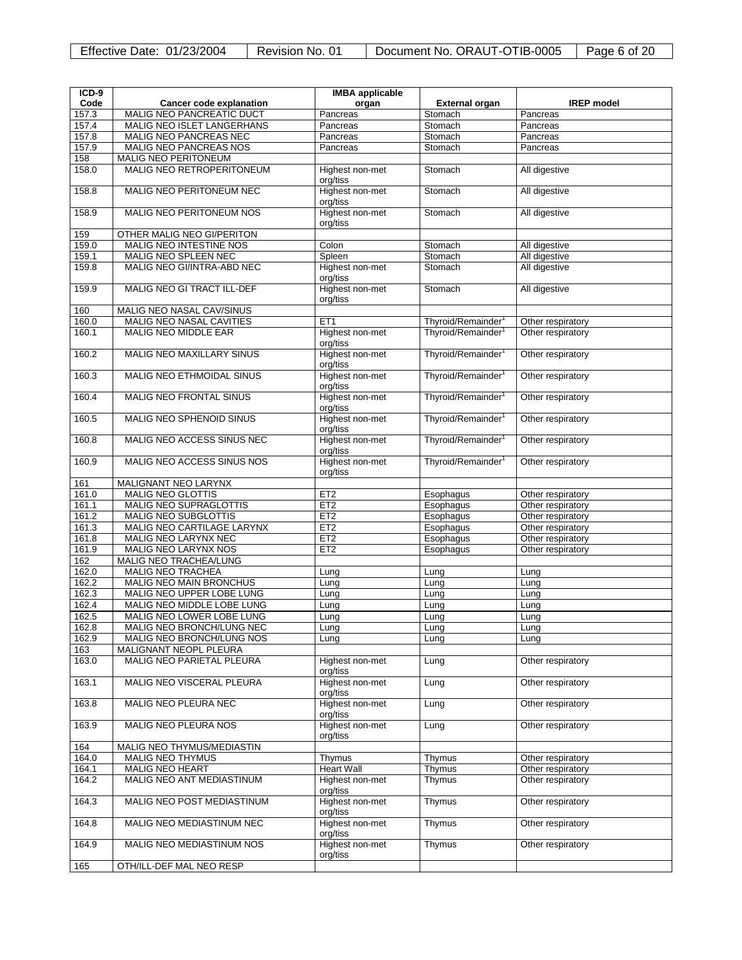| Effective Date: 01/23/2004 | Revision No. 01 | Document No. ORAUT-OTIB-0005 | Page 6 of 20 |
|----------------------------|-----------------|------------------------------|--------------|
|----------------------------|-----------------|------------------------------|--------------|

| $ICD-9$      |                                                           | <b>IMBA</b> applicable      |                                |                   |
|--------------|-----------------------------------------------------------|-----------------------------|--------------------------------|-------------------|
| Code         | <b>Cancer code explanation</b>                            | organ                       | <b>External organ</b>          | <b>IREP</b> model |
| 157.3        | <b>MALIG NEO PANCREATIC DUCT</b>                          | Pancreas                    | Stomach                        | Pancreas          |
| 157.4        | MALIG NEO ISLET LANGERHANS                                | Pancreas                    | Stomach                        | Pancreas          |
| 157.8        | MALIG NEO PANCREAS NEC                                    | Pancreas                    | Stomach                        | Pancreas          |
| 157.9        | MALIG NEO PANCREAS NOS                                    | Pancreas                    | Stomach                        | Pancreas          |
| 158          | MALIG NEO PERITONEUM                                      |                             |                                |                   |
| 158.0        | <b>MALIG NEO RETROPERITONEUM</b>                          | Highest non-met<br>org/tiss | Stomach                        | All digestive     |
| 158.8        | MALIG NEO PERITONEUM NEC                                  | Highest non-met<br>org/tiss | Stomach                        | All digestive     |
| 158.9        | MALIG NEO PERITONEUM NOS                                  | Highest non-met<br>org/tiss | Stomach                        | All digestive     |
| 159          | OTHER MALIG NEO GI/PERITON                                |                             |                                |                   |
| 159.0        | <b>MALIG NEO INTESTINE NOS</b>                            | Colon                       | Stomach                        | All digestive     |
| 159.1        | MALIG NEO SPLEEN NEC                                      | Spleen                      | Stomach                        | All digestive     |
| 159.8        | MALIG NEO GI/INTRA-ABD NEC                                | Highest non-met<br>org/tiss | Stomach                        | All digestive     |
| 159.9        | MALIG NEO GI TRACT ILL-DEF                                | Highest non-met<br>org/tiss | Stomach                        | All digestive     |
| 160          | MALIG NEO NASAL CAV/SINUS                                 |                             |                                |                   |
| 160.0        | MALIG NEO NASAL CAVITIES                                  | ET <sub>1</sub>             | Thyroid/Remainder              | Other respiratory |
| 160.1        | MALIG NEO MIDDLE EAR                                      | Highest non-met<br>org/tiss | Thyroid/Remainder <sup>1</sup> | Other respiratory |
| 160.2        | <b>MALIG NEO MAXILLARY SINUS</b>                          | Highest non-met<br>org/tiss | Thyroid/Remainder <sup>1</sup> | Other respiratory |
| 160.3        | MALIG NEO ETHMOIDAL SINUS                                 | Highest non-met<br>org/tiss | Thyroid/Remainder <sup>1</sup> | Other respiratory |
| 160.4        | <b>MALIG NEO FRONTAL SINUS</b>                            | Highest non-met<br>org/tiss | Thyroid/Remainder <sup>1</sup> | Other respiratory |
| 160.5        | MALIG NEO SPHENOID SINUS                                  | Highest non-met<br>org/tiss | Thyroid/Remainder <sup>1</sup> | Other respiratory |
| 160.8        | MALIG NEO ACCESS SINUS NEC                                | Highest non-met<br>org/tiss | Thyroid/Remainder <sup>1</sup> | Other respiratory |
| 160.9        | MALIG NEO ACCESS SINUS NOS                                | Highest non-met<br>org/tiss | Thyroid/Remainder <sup>1</sup> | Other respiratory |
| 161          | MALIGNANT NEO LARYNX                                      |                             |                                |                   |
| 161.0        | <b>MALIG NEO GLOTTIS</b>                                  | ET <sub>2</sub>             | Esophagus                      | Other respiratory |
| 161.1        | <b>MALIG NEO SUPRAGLOTTIS</b>                             | ET <sub>2</sub>             | Esophagus                      | Other respiratory |
| 161.2        | <b>MALIG NEO SUBGLOTTIS</b>                               | ET <sub>2</sub>             | Esophagus                      | Other respiratory |
| 161.3        | MALIG NEO CARTILAGE LARYNX                                | ET2                         | Esophagus                      | Other respiratory |
| 161.8        | MALIG NEO LARYNX NEC                                      | ET <sub>2</sub>             | Esophagus                      | Other respiratory |
| 161.9        | MALIG NEO LARYNX NOS                                      | ET <sub>2</sub>             | Esophagus                      | Other respiratory |
| 162<br>162.0 | <b>MALIG NEO TRACHEA/LUNG</b><br><b>MALIG NEO TRACHEA</b> |                             |                                |                   |
| 162.2        | MALIG NEO MAIN BRONCHUS                                   | Lung<br>Lung                | Lung<br>Lung                   | Lung<br>Lung      |
| 162.3        | MALIG NEO UPPER LOBE LUNG                                 | Lung                        | Lung                           | Lung              |
| 162.4        | MALIG NEO MIDDLE LOBE LUNG                                | Lung                        | Lung                           | Lung              |
| 162.5        | MALIG NEO LOWER LOBE LUNG                                 | Lung                        | Lung                           | Lung              |
| 162.8        | MALIG NEO BRONCH/LUNG NEC                                 | Lung                        | Lung                           | Lung              |
| 162.9        | MALIG NEO BRONCH/LUNG NOS                                 | Lung                        | Lung                           | Lung              |
| 163          | MALIGNANT NEOPL PLEURA                                    |                             |                                |                   |
| 163.0        | MALIG NEO PARIETAL PLEURA                                 | Highest non-met<br>org/tiss | Lung                           | Other respiratory |
| 163.1        | MALIG NEO VISCERAL PLEURA                                 | Highest non-met<br>org/tiss | Lung                           | Other respiratory |
| 163.8        | MALIG NEO PLEURA NEC                                      | Highest non-met<br>org/tiss | Lung                           | Other respiratory |
| 163.9        | <b>MALIG NEO PLEURA NOS</b>                               | Highest non-met<br>org/tiss | Lung                           | Other respiratory |
| 164          | MALIG NEO THYMUS/MEDIASTIN                                |                             |                                |                   |
| 164.0        | <b>MALIG NEO THYMUS</b>                                   | Thymus                      | Thymus                         | Other respiratory |
| 164.1        | <b>MALIG NEO HEART</b>                                    | <b>Heart Wall</b>           | Thymus                         | Other respiratory |
| 164.2        | MALIG NEO ANT MEDIASTINUM                                 | Highest non-met<br>org/tiss | Thymus                         | Other respiratory |
| 164.3        | MALIG NEO POST MEDIASTINUM                                | Highest non-met<br>org/tiss | Thymus                         | Other respiratory |
| 164.8        | MALIG NEO MEDIASTINUM NEC                                 | Highest non-met<br>org/tiss | Thymus                         | Other respiratory |
| 164.9        | MALIG NEO MEDIASTINUM NOS                                 | Highest non-met<br>org/tiss | Thymus                         | Other respiratory |
| 165          | OTH/ILL-DEF MAL NEO RESP                                  |                             |                                |                   |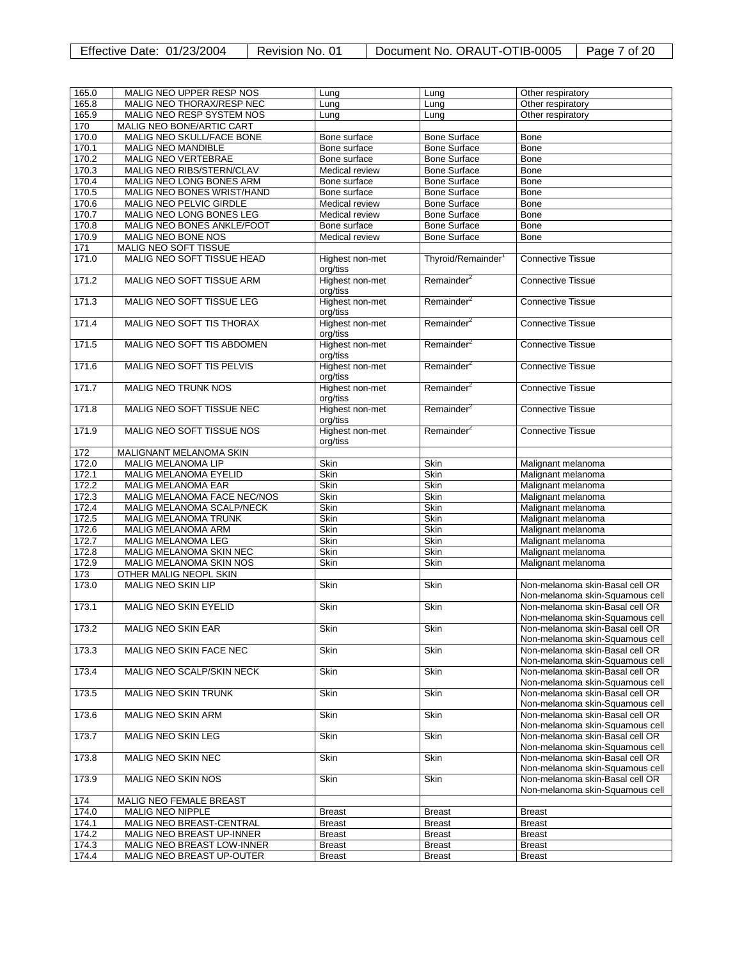| Effective Date: 01/23/2004 | Revision No. 01 | Document No. ORAUT-OTIB-0005   Page 7 of 20 |  |
|----------------------------|-----------------|---------------------------------------------|--|
|----------------------------|-----------------|---------------------------------------------|--|

| 165.0 | MALIG NEO UPPER RESP NOS         | Lung            | Lung                           | Other respiratory               |
|-------|----------------------------------|-----------------|--------------------------------|---------------------------------|
| 165.8 | MALIG NEO THORAX/RESP NEC        | Lung            | Lung                           | Other respiratory               |
| 165.9 | MALIG NEO RESP SYSTEM NOS        | Lung            | Lung                           | Other respiratory               |
| 170   | MALIG NEO BONE/ARTIC CART        |                 |                                |                                 |
| 170.0 | MALIG NEO SKULL/FACE BONE        | Bone surface    | <b>Bone Surface</b>            | <b>Bone</b>                     |
| 170.1 | <b>MALIG NEO MANDIBLE</b>        | Bone surface    | <b>Bone Surface</b>            | Bone                            |
| 170.2 | <b>MALIG NEO VERTEBRAE</b>       | Bone surface    | <b>Bone Surface</b>            | <b>Bone</b>                     |
|       |                                  |                 |                                |                                 |
| 170.3 | MALIG NEO RIBS/STERN/CLAV        | Medical review  | <b>Bone Surface</b>            | Bone                            |
| 170.4 | MALIG NEO LONG BONES ARM         | Bone surface    | <b>Bone Surface</b>            | Bone                            |
| 170.5 | MALIG NEO BONES WRIST/HAND       | Bone surface    | <b>Bone Surface</b>            | <b>Bone</b>                     |
| 170.6 | MALIG NEO PELVIC GIRDLE          | Medical review  | <b>Bone Surface</b>            | Bone                            |
| 170.7 | MALIG NEO LONG BONES LEG         | Medical review  | <b>Bone Surface</b>            | Bone                            |
| 170.8 | MALIG NEO BONES ANKLE/FOOT       | Bone surface    | <b>Bone Surface</b>            | Bone                            |
| 170.9 | MALIG NEO BONE NOS               | Medical review  | <b>Bone Surface</b>            | Bone                            |
| 171   | MALIG NEO SOFT TISSUE            |                 |                                |                                 |
| 171.0 | MALIG NEO SOFT TISSUE HEAD       | Highest non-met | Thyroid/Remainder <sup>1</sup> | <b>Connective Tissue</b>        |
|       |                                  | org/tiss        |                                |                                 |
| 171.2 | MALIG NEO SOFT TISSUE ARM        | Highest non-met | Remainder <sup>2</sup>         | <b>Connective Tissue</b>        |
|       |                                  |                 |                                |                                 |
|       |                                  | org/tiss        |                                |                                 |
| 171.3 | MALIG NEO SOFT TISSUE LEG        | Highest non-met | Remainder <sup>2</sup>         | <b>Connective Tissue</b>        |
|       |                                  | org/tiss        |                                |                                 |
| 171.4 | <b>MALIG NEO SOFT TIS THORAX</b> | Highest non-met | Remainder <sup>2</sup>         | <b>Connective Tissue</b>        |
|       |                                  | org/tiss        |                                |                                 |
| 171.5 | MALIG NEO SOFT TIS ABDOMEN       | Highest non-met | Remainder <sup>2</sup>         | <b>Connective Tissue</b>        |
|       |                                  | org/tiss        |                                |                                 |
| 171.6 | MALIG NEO SOFT TIS PELVIS        | Highest non-met | Remainder <sup>2</sup>         | <b>Connective Tissue</b>        |
|       |                                  | org/tiss        |                                |                                 |
| 171.7 | <b>MALIG NEO TRUNK NOS</b>       | Highest non-met | Remainder <sup>2</sup>         | <b>Connective Tissue</b>        |
|       |                                  | org/tiss        |                                |                                 |
| 171.8 | MALIG NEO SOFT TISSUE NEC        | Highest non-met | Remainder <sup>2</sup>         | <b>Connective Tissue</b>        |
|       |                                  |                 |                                |                                 |
|       |                                  | org/tiss        |                                |                                 |
| 171.9 | MALIG NEO SOFT TISSUE NOS        | Highest non-met | Remainder <sup>2</sup>         | <b>Connective Tissue</b>        |
|       |                                  | org/tiss        |                                |                                 |
| 172   | MALIGNANT MELANOMA SKIN          |                 |                                |                                 |
| 172.0 | <b>MALIG MELANOMA LIP</b>        | Skin            | Skin                           | Malignant melanoma              |
| 172.1 | MALIG MELANOMA EYELID            | <b>Skin</b>     | <b>Skin</b>                    | Malignant melanoma              |
| 172.2 | <b>MALIG MELANOMA EAR</b>        | <b>Skin</b>     | <b>Skin</b>                    | Malignant melanoma              |
| 172.3 | MALIG MELANOMA FACE NEC/NOS      | <b>Skin</b>     | <b>Skin</b>                    | Malignant melanoma              |
| 172.4 | MALIG MELANOMA SCALP/NECK        | <b>Skin</b>     | Skin                           | Malignant melanoma              |
| 172.5 | MALIG MELANOMA TRUNK             | <b>Skin</b>     | Skin                           | Malignant melanoma              |
| 172.6 | MALIG MELANOMA ARM               | Skin            | Skin                           | Malignant melanoma              |
|       |                                  | <b>Skin</b>     |                                |                                 |
| 172.7 | MALIG MELANOMA LEG               |                 | Skin                           | Malignant melanoma              |
| 172.8 | MALIG MELANOMA SKIN NEC          | Skin            | Skin                           | Malignant melanoma              |
| 172.9 | MALIG MELANOMA SKIN NOS          | Skin            | Skin                           | Malignant melanoma              |
| 173   | OTHER MALIG NEOPL SKIN           |                 |                                |                                 |
| 173.0 | MALIG NEO SKIN LIP               | Skin            | <b>Skin</b>                    | Non-melanoma skin-Basal cell OR |
|       |                                  |                 |                                | Non-melanoma skin-Squamous cell |
| 173.1 | MALIG NEO SKIN EYELID            | Skin            | Skin                           | Non-melanoma skin-Basal cell OR |
|       |                                  |                 |                                | Non-melanoma skin-Squamous cell |
| 173.2 | <b>MALIG NEO SKIN EAR</b>        | Skin            | Skin                           | Non-melanoma skin-Basal cell OR |
|       |                                  |                 |                                | Non-melanoma skin-Squamous cell |
| 173.3 | MALIG NEO SKIN FACE NEC          | Skin            | Skin                           | Non-melanoma skin-Basal cell OR |
|       |                                  |                 |                                |                                 |
|       |                                  |                 |                                | Non-melanoma skin-Squamous cell |
| 173.4 | MALIG NEO SCALP/SKIN NECK        | Skin            | Skin                           | Non-melanoma skin-Basal cell OR |
|       |                                  |                 |                                | Non-melanoma skin-Squamous cell |
| 173.5 | <b>MALIG NEO SKIN TRUNK</b>      | Skin            | Skin                           | Non-melanoma skin-Basal cell OR |
|       |                                  |                 |                                | Non-melanoma skin-Squamous cell |
| 173.6 | MALIG NEO SKIN ARM               | Skin            | <b>Skin</b>                    | Non-melanoma skin-Basal cell OR |
|       |                                  |                 |                                | Non-melanoma skin-Squamous cell |
| 173.7 | <b>MALIG NEO SKIN LEG</b>        | Skin            | <b>Skin</b>                    | Non-melanoma skin-Basal cell OR |
|       |                                  |                 |                                | Non-melanoma skin-Squamous cell |
| 173.8 | MALIG NEO SKIN NEC               | Skin            | <b>Skin</b>                    | Non-melanoma skin-Basal cell OR |
|       |                                  |                 |                                | Non-melanoma skin-Squamous cell |
| 173.9 | <b>MALIG NEO SKIN NOS</b>        | Skin            | Skin                           | Non-melanoma skin-Basal cell OR |
|       |                                  |                 |                                | Non-melanoma skin-Squamous cell |
| 174   | MALIG NEO FEMALE BREAST          |                 |                                |                                 |
|       |                                  |                 |                                |                                 |
| 174.0 | MALIG NEO NIPPLE                 | <b>Breast</b>   | <b>Breast</b>                  | <b>Breast</b>                   |
| 174.1 | MALIG NEO BREAST-CENTRAL         | <b>Breast</b>   | <b>Breast</b>                  | <b>Breast</b>                   |
| 174.2 | MALIG NEO BREAST UP-INNER        | <b>Breast</b>   | <b>Breast</b>                  | <b>Breast</b>                   |
| 174.3 | MALIG NEO BREAST LOW-INNER       | <b>Breast</b>   | <b>Breast</b>                  | <b>Breast</b>                   |
| 174.4 | MALIG NEO BREAST UP-OUTER        | <b>Breast</b>   | <b>Breast</b>                  | <b>Breast</b>                   |
|       |                                  |                 |                                |                                 |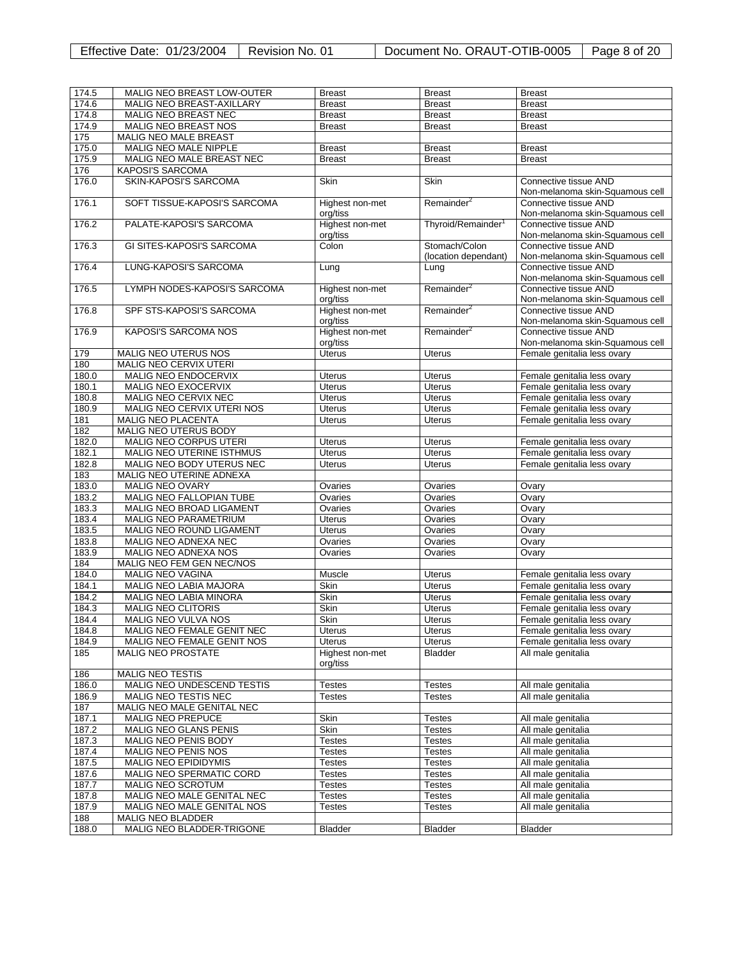|  | Effective Date: 01/23/2004 |  | Revision No. 01 |
|--|----------------------------|--|-----------------|
|--|----------------------------|--|-----------------|

Document No. ORAUT-OTIB-0005 | Page 8 of 20

| 174.5           | MALIG NEO BREAST LOW-OUTER       | <b>Breast</b>   | <b>Breast</b>                  | <b>Breast</b>                   |
|-----------------|----------------------------------|-----------------|--------------------------------|---------------------------------|
| 174.6           | MALIG NEO BREAST-AXILLARY        | <b>Breast</b>   | <b>Breast</b>                  | <b>Breast</b>                   |
| 174.8           | MALIG NEO BREAST NEC             | <b>Breast</b>   | <b>Breast</b>                  | <b>Breast</b>                   |
| 174.9           | MALIG NEO BREAST NOS             | <b>Breast</b>   | <b>Breast</b>                  | <b>Breast</b>                   |
| $\frac{175}{2}$ | MALIG NEO MALE BREAST            |                 |                                |                                 |
| 175.0           | MALIG NEO MALE NIPPLE            | <b>Breast</b>   | <b>Breast</b>                  | <b>Breast</b>                   |
| 175.9           | MALIG NEO MALE BREAST NEC        | <b>Breast</b>   | <b>Breast</b>                  | <b>Breast</b>                   |
| 176             | <b>KAPOSI'S SARCOMA</b>          |                 |                                |                                 |
|                 |                                  |                 |                                |                                 |
| 176.0           | SKIN-KAPOSI'S SARCOMA            | <b>Skin</b>     | <b>Skin</b>                    | Connective tissue AND           |
|                 |                                  |                 |                                | Non-melanoma skin-Squamous cell |
| 176.1           | SOFT TISSUE-KAPOSI'S SARCOMA     | Highest non-met | Remainder <sup>2</sup>         | Connective tissue AND           |
|                 |                                  | org/tiss        |                                | Non-melanoma skin-Squamous cell |
| 176.2           | PALATE-KAPOSI'S SARCOMA          | Highest non-met | Thyroid/Remainder <sup>1</sup> | Connective tissue AND           |
|                 |                                  | org/tiss        |                                | Non-melanoma skin-Squamous cell |
| 176.3           | <b>GI SITES-KAPOSI'S SARCOMA</b> | Colon           | Stomach/Colon                  | Connective tissue AND           |
|                 |                                  |                 | (location dependant)           | Non-melanoma skin-Squamous cell |
| 176.4           | LUNG-KAPOSI'S SARCOMA            | Lung            | Lung                           | Connective tissue AND           |
|                 |                                  |                 |                                | Non-melanoma skin-Squamous cell |
| 176.5           | LYMPH NODES-KAPOSI'S SARCOMA     | Highest non-met | Remainder <sup>2</sup>         | Connective tissue AND           |
|                 |                                  | org/tiss        |                                | Non-melanoma skin-Squamous cell |
| 176.8           | SPF STS-KAPOSI'S SARCOMA         | Highest non-met | Remainder <sup>2</sup>         | Connective tissue AND           |
|                 |                                  | org/tiss        |                                | Non-melanoma skin-Squamous cell |
| 176.9           | <b>KAPOSI'S SARCOMA NOS</b>      | Highest non-met | Remainder <sup>2</sup>         | Connective tissue AND           |
|                 |                                  | org/tiss        |                                | Non-melanoma skin-Squamous cell |
| 179             | MALIG NEO UTERUS NOS             | <b>Uterus</b>   | <b>Uterus</b>                  | Female genitalia less ovary     |
| 180             | <b>MALIG NEO CERVIX UTERI</b>    |                 |                                |                                 |
| 180.0           | <b>MALIG NEO ENDOCERVIX</b>      |                 |                                |                                 |
|                 |                                  | <b>Uterus</b>   | <b>Uterus</b>                  | Female genitalia less ovary     |
| 180.1           | <b>MALIG NEO EXOCERVIX</b>       | Uterus          | <b>Uterus</b>                  | Female genitalia less ovary     |
| 180.8           | MALIG NEO CERVIX NEC             | <b>Uterus</b>   | <b>Uterus</b>                  | Female genitalia less ovary     |
| 180.9           | MALIG NEO CERVIX UTERI NOS       | Uterus          | Uterus                         | Female genitalia less ovary     |
| 181             | <b>MALIG NEO PLACENTA</b>        | <b>Uterus</b>   | <b>Uterus</b>                  | Female genitalia less ovary     |
| 182             | <b>MALIG NEO UTERUS BODY</b>     |                 |                                |                                 |
| 182.0           | MALIG NEO CORPUS UTERI           | Uterus          | Uterus                         | Female genitalia less ovary     |
| 182.1           | <b>MALIG NEO UTERINE ISTHMUS</b> | <b>Uterus</b>   | Uterus                         | Female genitalia less ovary     |
| 182.8           | MALIG NEO BODY UTERUS NEC        | <b>Uterus</b>   | <b>Uterus</b>                  | Female genitalia less ovary     |
| 183             | MALIG NEO UTERINE ADNEXA         |                 |                                |                                 |
| 183.0           | <b>MALIG NEO OVARY</b>           | Ovaries         | Ovaries                        | Ovary                           |
| 183.2           | MALIG NEO FALLOPIAN TUBE         | Ovaries         | Ovaries                        | Ovary                           |
| 183.3           | MALIG NEO BROAD LIGAMENT         | Ovaries         | Ovaries                        | Ovary                           |
|                 |                                  |                 |                                |                                 |
| 183.4           | MALIG NEO PARAMETRIUM            | <b>Uterus</b>   | Ovaries                        | Ovary                           |
| 183.5           | MALIG NEO ROUND LIGAMENT         | <b>Uterus</b>   | Ovaries                        | Ovary                           |
| 183.8           | MALIG NEO ADNEXA NEC             | Ovaries         | Ovaries                        | Ovary                           |
| 183.9           | MALIG NEO ADNEXA NOS             | Ovaries         | Ovaries                        | Ovary                           |
| 184             | MALIG NEO FEM GEN NEC/NOS        |                 |                                |                                 |
| 184.0           | MALIG NEO VAGINA                 | Muscle          | Uterus                         | Female genitalia less ovary     |
| 184.1           | MALIG NEO LABIA MAJORA           | Skin            | Uterus                         | Female genitalia less ovary     |
| 184.2           | MALIG NEO LABIA MINORA           | Skin            | <b>Uterus</b>                  | Female genitalia less ovary     |
| 184.3           | <b>MALIG NEO CLITORIS</b>        | <b>Skin</b>     | <b>Uterus</b>                  | Female genitalia less ovary     |
| 184.4           | <b>MALIG NEO VULVA NOS</b>       | Skin            | Uterus                         | Female genitalia less ovary     |
| 184.8           | MALIG NEO FEMALE GENIT NEC       |                 |                                | Female genitalia less ovary     |
|                 |                                  | Uterus          | Uterus                         |                                 |
| 184.9           | MALIG NEO FEMALE GENIT NOS       | Uterus          | Uterus                         | Female genitalia less ovary     |
| 185             | <b>MALIG NEO PROSTATE</b>        | Highest non-met | <b>Bladder</b>                 | All male genitalia              |
|                 |                                  | org/tiss        |                                |                                 |
| 186             | <b>MALIG NEO TESTIS</b>          |                 |                                |                                 |
| 186.0           | MALIG NEO UNDESCEND TESTIS       | Testes          | Testes                         | All male genitalia              |
| 186.9           | MALIG NEO TESTIS NEC             | Testes          | Testes                         | All male genitalia              |
| 187             | MALIG NEO MALE GENITAL NEC       |                 |                                |                                 |
| 187.1           | <b>MALIG NEO PREPUCE</b>         | Skin            | Testes                         | All male genitalia              |
| 187.2           | MALIG NEO GLANS PENIS            | Skin            | <b>Testes</b>                  | All male genitalia              |
| 187.3           | MALIG NEO PENIS BODY             | Testes          | <b>Testes</b>                  | All male genitalia              |
| 187.4           | MALIG NEO PENIS NOS              | Testes          | <b>Testes</b>                  | All male genitalia              |
|                 |                                  |                 |                                |                                 |
| 187.5           | <b>MALIG NEO EPIDIDYMIS</b>      | Testes          | <b>Testes</b>                  | All male genitalia              |
| 187.6           | MALIG NEO SPERMATIC CORD         | Testes          | <b>Testes</b>                  | All male genitalia              |
| 187.7           | <b>MALIG NEO SCROTUM</b>         | Testes          | <b>Testes</b>                  | All male genitalia              |
| 187.8           | MALIG NEO MALE GENITAL NEC       | Testes          | Testes                         | All male genitalia              |
| 187.9           | MALIG NEO MALE GENITAL NOS       | Testes          | Testes                         | All male genitalia              |
| 188             | MALIG NEO BLADDER                |                 |                                |                                 |
| 188.0           | MALIG NEO BLADDER-TRIGONE        | Bladder         | <b>Bladder</b>                 | <b>Bladder</b>                  |
|                 |                                  |                 |                                |                                 |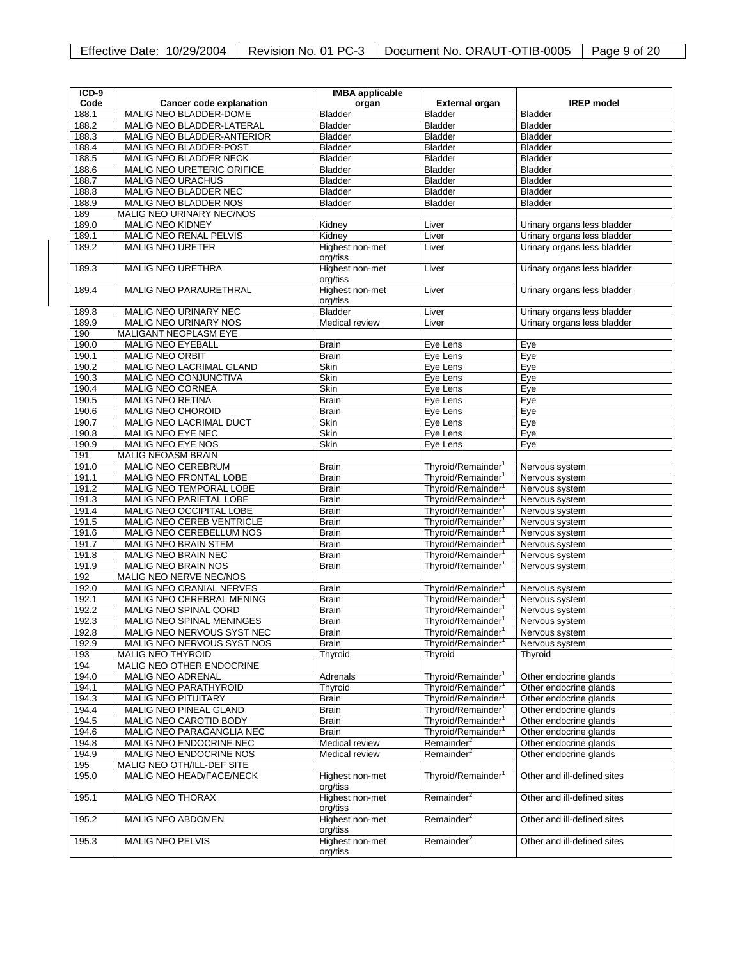|  |  | Effective Date: 10/29/2004   Revision No. 01 PC-3   Document No. ORAUT-OTIB-0005 | Page 9 of 20 |
|--|--|----------------------------------------------------------------------------------|--------------|
|--|--|----------------------------------------------------------------------------------|--------------|

| ICD-9 |                                   | <b>IMBA</b> applicable      |                                |                             |
|-------|-----------------------------------|-----------------------------|--------------------------------|-----------------------------|
| Code  | <b>Cancer code explanation</b>    | organ                       | <b>External organ</b>          | <b>IREP</b> model           |
| 188.1 | MALIG NEO BLADDER-DOME            | Bladder                     | <b>Bladder</b>                 | <b>Bladder</b>              |
| 188.2 | MALIG NEO BLADDER-LATERAL         | <b>Bladder</b>              | Bladder                        | <b>Bladder</b>              |
| 188.3 | MALIG NEO BLADDER-ANTERIOR        | Bladder                     | Bladder                        | <b>Bladder</b>              |
| 188.4 | MALIG NEO BLADDER-POST            | Bladder                     | <b>Bladder</b>                 | <b>Bladder</b>              |
| 188.5 | MALIG NEO BLADDER NECK            | Bladder                     | Bladder                        | <b>Bladder</b>              |
| 188.6 | <b>MALIG NEO URETERIC ORIFICE</b> | <b>Bladder</b>              | <b>Bladder</b>                 | <b>Bladder</b>              |
| 188.7 | MALIG NEO URACHUS                 | <b>Bladder</b>              | <b>Bladder</b>                 | <b>Bladder</b>              |
| 188.8 | MALIG NEO BLADDER NEC             | <b>Bladder</b>              | <b>Bladder</b>                 | <b>Bladder</b>              |
| 188.9 | MALIG NEO BLADDER NOS             | <b>Bladder</b>              | Bladder                        | <b>Bladder</b>              |
| 189   | MALIG NEO URINARY NEC/NOS         |                             |                                |                             |
| 189.0 | <b>MALIG NEO KIDNEY</b>           | Kidney                      | Liver                          | Urinary organs less bladder |
| 189.1 | MALIG NEO RENAL PELVIS            | Kidney                      | Liver                          | Urinary organs less bladder |
| 189.2 | <b>MALIG NEO URETER</b>           | Highest non-met             | Liver                          | Urinary organs less bladder |
|       |                                   | org/tiss                    |                                |                             |
| 189.3 | <b>MALIG NEO URETHRA</b>          | Highest non-met             | Liver                          | Urinary organs less bladder |
|       |                                   | org/tiss                    |                                |                             |
| 189.4 | <b>MALIG NEO PARAURETHRAL</b>     | Highest non-met             | Liver                          | Urinary organs less bladder |
|       |                                   | org/tiss                    |                                |                             |
| 189.8 | MALIG NEO URINARY NEC             | <b>Bladder</b>              | Liver                          | Urinary organs less bladder |
| 189.9 | MALIG NEO URINARY NOS             | Medical review              | Liver                          | Urinary organs less bladder |
| 190   | MALIGANT NEOPLASM EYE             |                             |                                |                             |
| 190.0 | MALIG NEO EYEBALL                 | <b>Brain</b>                | Eye Lens                       | Eye                         |
| 190.1 | <b>MALIG NEO ORBIT</b>            | <b>Brain</b>                | Eye Lens                       | Eye                         |
| 190.2 | <b>MALIG NEO LACRIMAL GLAND</b>   | Skin                        | Eye Lens                       | Eye                         |
| 190.3 | <b>MALIG NEO CONJUNCTIVA</b>      | <b>Skin</b>                 | Eve Lens                       | Eye                         |
| 190.4 | MALIG NEO CORNEA                  | <b>Skin</b>                 | Eye Lens                       | Eye                         |
| 190.5 | <b>MALIG NEO RETINA</b>           | <b>Brain</b>                | Eye Lens                       | Eye                         |
| 190.6 | <b>MALIG NEO CHOROID</b>          | <b>Brain</b>                | Eye Lens                       | Eye                         |
| 190.7 | MALIG NEO LACRIMAL DUCT           | Skin                        | Eye Lens                       | Eye                         |
| 190.8 | MALIG NEO EYE NEC                 | Skin                        | Eye Lens                       | Eye                         |
| 190.9 | MALIG NEO EYE NOS                 | <b>Skin</b>                 | Eye Lens                       | Eye                         |
| 191   | MALIG NEOASM BRAIN                |                             |                                |                             |
| 191.0 | MALIG NEO CEREBRUM                | Brain                       | Thyroid/Remainder <sup>1</sup> | Nervous system              |
| 191.1 | MALIG NEO FRONTAL LOBE            | Brain                       | Thyroid/Remainder <sup>1</sup> | Nervous system              |
| 191.2 | MALIG NEO TEMPORAL LOBE           | <b>Brain</b>                | Thyroid/Remainder <sup>1</sup> | Nervous system              |
| 191.3 | <b>MALIG NEO PARIETAL LOBE</b>    | <b>Brain</b>                | Thyroid/Remainder              | Nervous system              |
| 191.4 | MALIG NEO OCCIPITAL LOBE          | <b>Brain</b>                | Thyroid/Remainder <sup>1</sup> | Nervous system              |
| 191.5 | MALIG NEO CEREB VENTRICLE         | <b>Brain</b>                | Thyroid/Remainder <sup>1</sup> | Nervous system              |
| 191.6 | MALIG NEO CEREBELLUM NOS          | <b>Brain</b>                | Thyroid/Remainder              | Nervous system              |
| 191.7 | MALIG NEO BRAIN STEM              | <b>Brain</b>                | Thyroid/Remainder <sup>1</sup> | Nervous system              |
| 191.8 | MALIG NEO BRAIN NEC               | <b>Brain</b>                | Thyroid/Remainder <sup>1</sup> | Nervous system              |
| 191.9 | <b>MALIG NEO BRAIN NOS</b>        | <b>Brain</b>                | Thyroid/Remainder              | Nervous system              |
| 192   | MALIG NEO NERVE NEC/NOS           |                             |                                |                             |
| 192.0 | MALIG NEO CRANIAL NERVES          | <b>Brain</b>                | Thyroid/Remainder <sup>1</sup> | Nervous system              |
| 192.1 | MALIG NEO CEREBRAL MENING         | <b>Brain</b>                | Thyroid/Remainder              | Nervous system              |
| 192.2 | MALIG NEO SPINAL CORD             | Brain                       | Thyroid/Remainder              | Nervous system              |
| 192.3 | MALIG NEO SPINAL MENINGES         | <b>Brain</b>                | Thyroid/Remainder <sup>1</sup> | Nervous system              |
| 192.8 | MALIG NEO NERVOUS SYST NEC        | Brain                       | Thyroid/Remainder              | Nervous system              |
| 192.9 | MALIG NEO NERVOUS SYST NOS        | <b>Brain</b>                | Thyroid/Remainder <sup>1</sup> | Nervous system              |
| 193   | MALIG NEO THYROID                 | Thyroid                     | Thyroid                        | Thyroid                     |
| 194   | MALIG NEO OTHER ENDOCRINE         |                             |                                |                             |
| 194.0 | MALIG NEO ADRENAL                 | Adrenals                    | Thyroid/Remainder <sup>1</sup> | Other endocrine glands      |
| 194.1 | <b>MALIG NEO PARATHYROID</b>      | Thyroid                     | Thyroid/Remainder <sup>1</sup> | Other endocrine glands      |
| 194.3 | <b>MALIG NEO PITUITARY</b>        | Brain                       | Thyroid/Remainder <sup>1</sup> | Other endocrine glands      |
| 194.4 | MALIG NEO PINEAL GLAND            | <b>Brain</b>                | Thyroid/Remainder <sup>1</sup> | Other endocrine glands      |
| 194.5 | MALIG NEO CAROTID BODY            | <b>Brain</b>                | Thyroid/Remainder <sup>1</sup> | Other endocrine glands      |
| 194.6 | MALIG NEO PARAGANGLIA NEC         | Brain                       | Thyroid/Remainder <sup>1</sup> | Other endocrine glands      |
| 194.8 | MALIG NEO ENDOCRINE NEC           | Medical review              | Remainder <sup>2</sup>         | Other endocrine glands      |
| 194.9 | MALIG NEO ENDOCRINE NOS           | Medical review              | Remainder <sup>2</sup>         | Other endocrine glands      |
| 195   | MALIG NEO OTH/ILL-DEF SITE        |                             |                                |                             |
| 195.0 | MALIG NEO HEAD/FACE/NECK          | Highest non-met             | Thyroid/Remainder <sup>1</sup> | Other and ill-defined sites |
| 195.1 | <b>MALIG NEO THORAX</b>           | org/tiss<br>Highest non-met | Remainder <sup>2</sup>         | Other and ill-defined sites |
|       |                                   | org/tiss                    |                                |                             |
| 195.2 | MALIG NEO ABDOMEN                 | Highest non-met             | Remainder <sup>2</sup>         | Other and ill-defined sites |
| 195.3 | <b>MALIG NEO PELVIS</b>           | org/tiss<br>Highest non-met | Remainder <sup>2</sup>         | Other and ill-defined sites |
|       |                                   | org/tiss                    |                                |                             |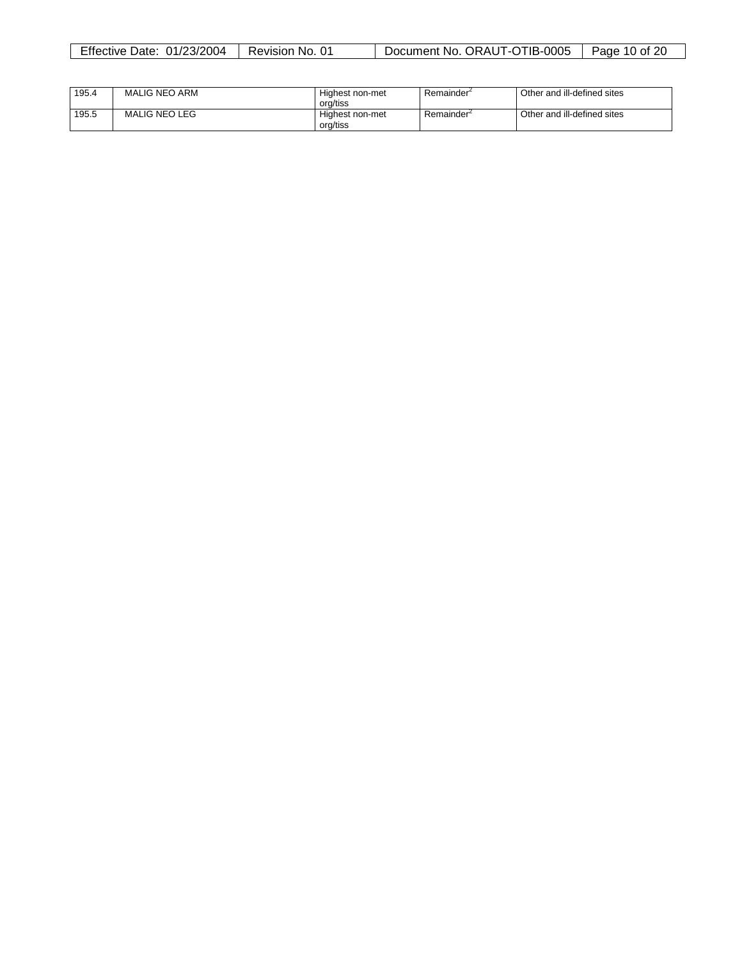| Effective<br>01/23/2004<br>Date: | -01<br>Revision<br>No. | TIB-0005<br>ORAUT<br>Jocument No.<br>1-O I | 20<br>Page<br>10 of |
|----------------------------------|------------------------|--------------------------------------------|---------------------|
|                                  |                        |                                            |                     |

| 195.4 | MALIG NEO ARM        | Highest non-met<br>org/tiss | Remainder <sup>-</sup> | Other and ill-defined sites |
|-------|----------------------|-----------------------------|------------------------|-----------------------------|
| 195.5 | <b>MALIG NEO LEG</b> | Highest non-met<br>org/tiss | Remainder <sup>2</sup> | Other and ill-defined sites |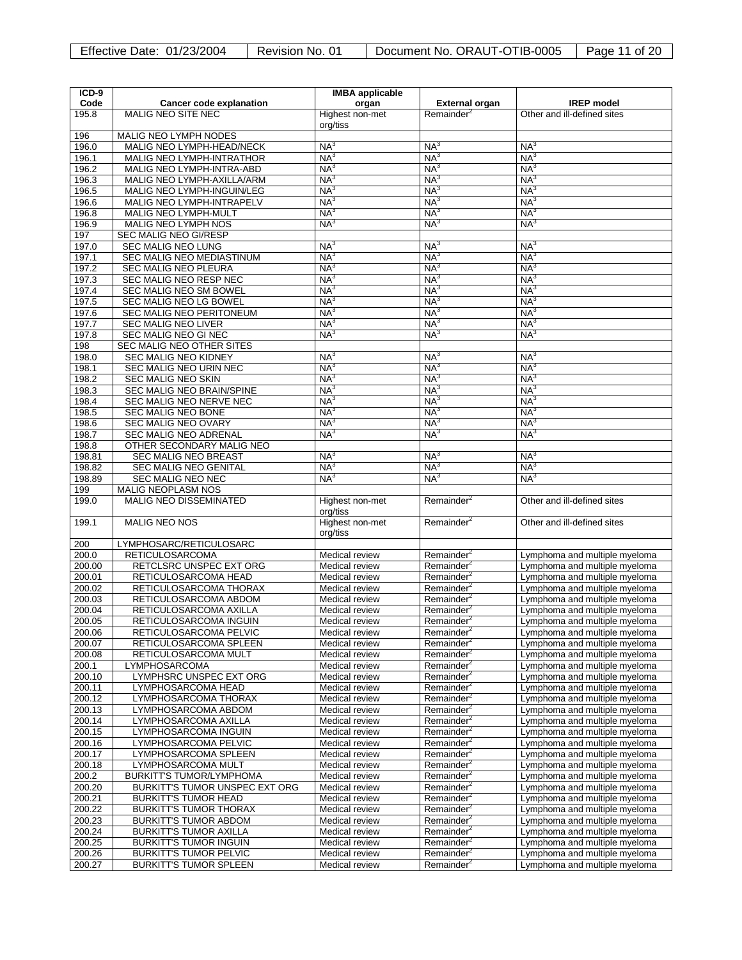| ICD-9            |                                                                | <b>IMBA</b> applicable             |                                                  |                                                                |
|------------------|----------------------------------------------------------------|------------------------------------|--------------------------------------------------|----------------------------------------------------------------|
| Code             | <b>Cancer code explanation</b>                                 | organ                              | <b>External organ</b>                            | <b>IREP</b> model                                              |
| 195.8            | <b>MALIG NEO SITE NEC</b>                                      | Highest non-met                    | Remainder <sup>2</sup>                           | Other and ill-defined sites                                    |
|                  |                                                                | org/tiss                           |                                                  |                                                                |
| 196<br>196.0     | MALIG NEO LYMPH NODES<br>MALIG NEO LYMPH-HEAD/NECK             | NA <sup>3</sup>                    | NA <sup>3</sup>                                  | NA <sup>3</sup>                                                |
| 196.1            | MALIG NEO LYMPH-INTRATHOR                                      | NA <sup>3</sup>                    | NA <sup>3</sup>                                  | NA <sup>3</sup>                                                |
| 196.2            | MALIG NEO LYMPH-INTRA-ABD                                      | NA <sup>3</sup>                    | NA <sup>3</sup>                                  | NA <sup>3</sup>                                                |
| 196.3            | MALIG NEO LYMPH-AXILLA/ARM                                     | NA <sup>3</sup>                    | NA <sup>3</sup>                                  | NA <sup>3</sup>                                                |
| 196.5            | MALIG NEO LYMPH-INGUIN/LEG                                     | NA <sup>3</sup>                    | NA <sup>3</sup>                                  | NA <sup>3</sup>                                                |
| 196.6            | MALIG NEO LYMPH-INTRAPELV                                      | NA <sup>3</sup>                    | NA <sup>3</sup>                                  | NA <sup>3</sup>                                                |
| 196.8            | <b>MALIG NEO LYMPH-MULT</b>                                    | NA <sup>3</sup>                    | NA <sup>3</sup>                                  | NA <sup>3</sup>                                                |
| 196.9            | <b>MALIG NEO LYMPH NOS</b>                                     | NA <sup>3</sup>                    | NA <sup>3</sup>                                  | NA <sup>3</sup>                                                |
| 197              | <b>SEC MALIG NEO GI/RESP</b>                                   |                                    |                                                  |                                                                |
| 197.0            | <b>SEC MALIG NEO LUNG</b>                                      | NA <sup>3</sup>                    | NA <sup>3</sup>                                  | NA <sup>3</sup>                                                |
| 197.1<br>197.2   | SEC MALIG NEO MEDIASTINUM<br>SEC MALIG NEO PLEURA              | $NA^3$<br>NA <sup>3</sup>          | NA <sup>3</sup><br>NA <sup>3</sup>               | NA <sup>3</sup><br>NA <sup>3</sup>                             |
| 197.3            | SEC MALIG NEO RESP NEC                                         | NA <sup>3</sup>                    | NA <sup>3</sup>                                  | NA <sup>3</sup>                                                |
| 197.4            | SEC MALIG NEO SM BOWEL                                         | NA <sup>3</sup>                    | NA <sup>3</sup>                                  | NA <sup>3</sup>                                                |
| 197.5            | SEC MALIG NEO LG BOWEL                                         | NA <sup>3</sup>                    | NA <sup>3</sup>                                  | NA <sup>3</sup>                                                |
| 197.6            | SEC MALIG NEO PERITONEUM                                       | NA <sup>3</sup>                    | NA <sup>3</sup>                                  | NA <sup>3</sup>                                                |
| 197.7            | <b>SEC MALIG NEO LIVER</b>                                     | NA <sup>3</sup>                    | NA <sup>3</sup>                                  | NA <sup>3</sup>                                                |
| 197.8            | SEC MALIG NEO GI NEC                                           | NA <sup>3</sup>                    | NA <sup>3</sup>                                  | NA <sup>3</sup>                                                |
| 198              | SEC MALIG NEO OTHER SITES                                      |                                    |                                                  |                                                                |
| 198.0            | <b>SEC MALIG NEO KIDNEY</b>                                    | NA <sup>3</sup>                    | NA <sup>3</sup>                                  | NA <sup>3</sup>                                                |
| 198.1            | SEC MALIG NEO URIN NEC                                         | NA <sup>3</sup>                    | NA <sup>3</sup>                                  | NA <sup>3</sup>                                                |
| 198.2            | <b>SEC MALIG NEO SKIN</b><br>SEC MALIG NEO BRAIN/SPINE         | NA <sup>3</sup><br>NA <sup>3</sup> | NA <sub>3</sub><br>NA <sup>3</sup>               | $NA^3$<br>NA <sup>3</sup>                                      |
| 198.3<br>198.4   | SEC MALIG NEO NERVE NEC                                        | NA <sup>3</sup>                    | NA <sup>3</sup>                                  | NA <sup>3</sup>                                                |
| 198.5            | SEC MALIG NEO BONE                                             | NA <sup>3</sup>                    | NA <sup>3</sup>                                  | NA <sup>3</sup>                                                |
| 198.6            | <b>SEC MALIG NEO OVARY</b>                                     | NA <sup>3</sup>                    | NA <sup>3</sup>                                  | NA <sup>3</sup>                                                |
| 198.7            | <b>SEC MALIG NEO ADRENAL</b>                                   | NA <sup>3</sup>                    | NA <sup>3</sup>                                  | NA <sup>3</sup>                                                |
| 198.8            | OTHER SECONDARY MALIG NEO                                      |                                    |                                                  |                                                                |
| 198.81           | SEC MALIG NEO BREAST                                           | NA <sup>3</sup>                    | NA <sup>3</sup>                                  | NA <sup>3</sup>                                                |
| 198.82           | <b>SEC MALIG NEO GENITAL</b>                                   | NA <sup>3</sup>                    | NA <sup>3</sup>                                  | NA <sup>3</sup>                                                |
| 198.89           | <b>SEC MALIG NEO NEC</b>                                       | NA <sup>3</sup>                    | NA <sup>3</sup>                                  | NA <sup>3</sup>                                                |
| 199              | <b>MALIG NEOPLASM NOS</b>                                      |                                    |                                                  |                                                                |
| 199.0            | <b>MALIG NEO DISSEMINATED</b>                                  | Highest non-met<br>org/tiss        | Remainder <sup>2</sup>                           | Other and ill-defined sites                                    |
| 199.1            | <b>MALIG NEO NOS</b>                                           | Highest non-met                    | Remainder <sup>2</sup>                           | Other and ill-defined sites                                    |
|                  |                                                                | org/tiss                           |                                                  |                                                                |
| 200              | LYMPHOSARC/RETICULOSARC                                        |                                    |                                                  |                                                                |
| 200.0            | <b>RETICULOSARCOMA</b>                                         | Medical review                     | Remainder <sup>2</sup>                           | Lymphoma and multiple myeloma                                  |
| 200.00           | RETCLSRC UNSPEC EXT ORG                                        | Medical review                     | Remainder <sup>2</sup>                           | Lymphoma and multiple myeloma                                  |
| 200.01           | RETICULOSARCOMA HEAD                                           | Medical review                     | Remainder <sup>2</sup>                           | Lymphoma and multiple myeloma                                  |
| 200.02           | RETICULOSARCOMA THORAX                                         | Medical review                     | Remainder <sup>2</sup>                           | Lymphoma and multiple myeloma                                  |
| 200.03           | RETICULOSARCOMA ABDOM                                          | Medical review                     | Remainder <sup>2</sup>                           | Lymphoma and multiple myeloma                                  |
| 200.04<br>200.05 | RETICULOSARCOMA AXILLA<br>RETICULOSARCOMA INGUIN               | Medical review<br>Medical review   | Remainder <sup>2</sup><br>Remainder <sup>2</sup> | Lymphoma and multiple myeloma<br>Lymphoma and multiple myeloma |
| 200.06           | RETICULOSARCOMA PELVIC                                         | Medical review                     | Remainder <sup>2</sup>                           | Lymphoma and multiple myeloma                                  |
| 200.07           | RETICULOSARCOMA SPLEEN                                         | Medical review                     | Remainder <sup>2</sup>                           | Lymphoma and multiple myeloma                                  |
| 200.08           | RETICULOSARCOMA MULT                                           | Medical review                     | Remainder <sup>2</sup>                           | Lymphoma and multiple myeloma                                  |
| 200.1            | LYMPHOSARCOMA                                                  | Medical review                     | Remainder <sup>2</sup>                           | Lymphoma and multiple myeloma                                  |
| 200.10           | LYMPHSRC UNSPEC EXT ORG                                        | Medical review                     | Remainder <sup>2</sup>                           | Lymphoma and multiple myeloma                                  |
| 200.11           | LYMPHOSARCOMA HEAD                                             | Medical review                     | Remainder <sup>2</sup>                           | Lymphoma and multiple myeloma                                  |
| 200.12           | LYMPHOSARCOMA THORAX                                           | Medical review                     | Remainder <sup>2</sup>                           | Lymphoma and multiple myeloma                                  |
| 200.13           | LYMPHOSARCOMA ABDOM                                            | Medical review                     | Remainder <sup>2</sup>                           | Lymphoma and multiple myeloma                                  |
| 200.14<br>200.15 | LYMPHOSARCOMA AXILLA<br>LYMPHOSARCOMA INGUIN                   | Medical review<br>Medical review   | Remainder <sup>2</sup><br>Remainder <sup>2</sup> | Lymphoma and multiple myeloma<br>Lymphoma and multiple myeloma |
| 200.16           | LYMPHOSARCOMA PELVIC                                           | Medical review                     | Remainder <sup>2</sup>                           | Lymphoma and multiple myeloma                                  |
| 200.17           | LYMPHOSARCOMA SPLEEN                                           | Medical review                     | Remainder <sup>2</sup>                           | Lymphoma and multiple myeloma                                  |
| 200.18           | LYMPHOSARCOMA MULT                                             | Medical review                     | Remainder <sup>2</sup>                           | Lymphoma and multiple myeloma                                  |
| 200.2            | <b>BURKITT'S TUMOR/LYMPHOMA</b>                                | Medical review                     | Remainder <sup>2</sup>                           | Lymphoma and multiple myeloma                                  |
| 200.20           | BURKITT'S TUMOR UNSPEC EXT ORG                                 | Medical review                     | Remainder <sup>2</sup>                           | Lymphoma and multiple myeloma                                  |
| 200.21           | <b>BURKITT'S TUMOR HEAD</b>                                    | Medical review                     | Remainder <sup>2</sup>                           | Lymphoma and multiple myeloma                                  |
| 200.22           | <b>BURKITT'S TUMOR THORAX</b>                                  | Medical review                     | Remainder <sup>2</sup>                           | Lymphoma and multiple myeloma                                  |
| 200.23           | <b>BURKITT'S TUMOR ABDOM</b>                                   | Medical review                     | Remainder <sup>2</sup>                           | Lymphoma and multiple myeloma                                  |
| 200.24           | <b>BURKITT'S TUMOR AXILLA</b>                                  | Medical review                     | Remainder <sup>2</sup>                           | Lymphoma and multiple myeloma                                  |
| 200.25<br>200.26 | <b>BURKITT'S TUMOR INGUIN</b><br><b>BURKITT'S TUMOR PELVIC</b> | Medical review<br>Medical review   | Remainder <sup>2</sup><br>Remainder <sup>2</sup> | Lymphoma and multiple myeloma<br>Lymphoma and multiple myeloma |
| 200.27           | <b>BURKITT'S TUMOR SPLEEN</b>                                  | Medical review                     | Remainder <sup>2</sup>                           | Lymphoma and multiple myeloma                                  |
|                  |                                                                |                                    |                                                  |                                                                |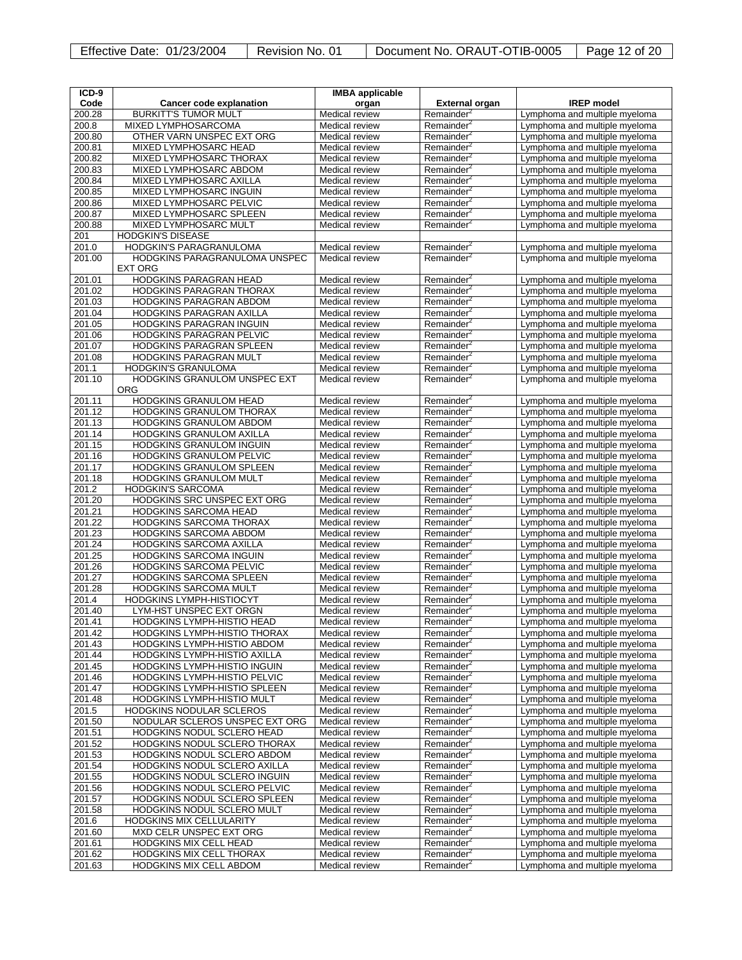| Effective Date: 01/23/2004 | Revision No. 01 | Document No. ORAUT-OTIB-0005 | Page 12 of 20 |
|----------------------------|-----------------|------------------------------|---------------|
|----------------------------|-----------------|------------------------------|---------------|

| ICD-9            |                                                        | <b>IMBA</b> applicable           |                                                  |                                                                |
|------------------|--------------------------------------------------------|----------------------------------|--------------------------------------------------|----------------------------------------------------------------|
| Code             | Cancer code explanation                                | organ                            | <b>External organ</b>                            | <b>IREP</b> model                                              |
| 200.28           | <b>BURKITT'S TUMOR MULT</b>                            | Medical review                   | Remainder <sup>2</sup>                           | Lymphoma and multiple myeloma                                  |
| 200.8            | MIXED LYMPHOSARCOMA                                    | Medical review                   | Remainder <sup>2</sup>                           | Lymphoma and multiple myeloma                                  |
| 200.80           | OTHER VARN UNSPEC EXT ORG                              | Medical review                   | Remainder <sup>4</sup>                           | Lymphoma and multiple myeloma                                  |
| 200.81           | MIXED LYMPHOSARC HEAD                                  | Medical review                   | Remainder <sup>2</sup>                           | Lymphoma and multiple myeloma                                  |
| 200.82           | MIXED LYMPHOSARC THORAX                                | Medical review                   | Remainder <sup>2</sup>                           | Lymphoma and multiple myeloma                                  |
| 200.83           | MIXED LYMPHOSARC ABDOM                                 | Medical review                   | Remainder <sup>2</sup>                           | Lymphoma and multiple myeloma                                  |
| 200.84           | MIXED LYMPHOSARC AXILLA                                | Medical review                   | Remainder <sup>2</sup>                           | Lymphoma and multiple myeloma                                  |
| 200.85           | MIXED LYMPHOSARC INGUIN                                | Medical review                   | Remainder <sup>2</sup>                           | Lymphoma and multiple myeloma                                  |
| 200.86           | MIXED LYMPHOSARC PELVIC                                | Medical review                   | Remainder <sup>2</sup>                           | Lymphoma and multiple myeloma                                  |
| 200.87           | <b>MIXED LYMPHOSARC SPLEEN</b>                         | Medical review                   | Remainder <sup>2</sup>                           | Lymphoma and multiple myeloma                                  |
| 200.88           | <b>MIXED LYMPHOSARC MULT</b>                           | Medical review                   | Remainder <sup>2</sup>                           | Lymphoma and multiple myeloma                                  |
| 201              | <b>HODGKIN'S DISEASE</b><br>HODGKIN'S PARAGRANULOMA    |                                  |                                                  |                                                                |
| 201.0<br>201.00  | HODGKINS PARAGRANULOMA UNSPEC                          | Medical review<br>Medical review | Remainder <sup>2</sup><br>Remainder <sup>2</sup> | Lymphoma and multiple myeloma<br>Lymphoma and multiple myeloma |
|                  | <b>EXT ORG</b>                                         |                                  |                                                  |                                                                |
| 201.01           | <b>HODGKINS PARAGRAN HEAD</b>                          | Medical review                   | Remainder <sup>2</sup>                           | Lymphoma and multiple myeloma                                  |
| 201.02           | <b>HODGKINS PARAGRAN THORAX</b>                        | Medical review                   | Remainder <sup>4</sup>                           | Lymphoma and multiple myeloma                                  |
| 201.03           | <b>HODGKINS PARAGRAN ABDOM</b>                         | Medical review                   | Remainder <sup>2</sup>                           | Lymphoma and multiple myeloma                                  |
| 201.04           | HODGKINS PARAGRAN AXILLA                               | Medical review                   | Remainder <sup>4</sup>                           | Lymphoma and multiple myeloma                                  |
| 201.05           | <b>HODGKINS PARAGRAN INGUIN</b>                        | Medical review                   | Remainder <sup>2</sup>                           | Lymphoma and multiple myeloma                                  |
| 201.06           | HODGKINS PARAGRAN PELVIC                               | Medical review                   | Remainder <sup>2</sup>                           | Lymphoma and multiple myeloma                                  |
| 201.07           | <b>HODGKINS PARAGRAN SPLEEN</b>                        | Medical review                   | Remainder <sup>2</sup>                           | Lymphoma and multiple myeloma                                  |
| 201.08           | <b>HODGKINS PARAGRAN MULT</b>                          | Medical review                   | Remainder <sup>2</sup>                           | Lymphoma and multiple myeloma                                  |
| 201.1            | <b>HODGKIN'S GRANULOMA</b>                             | Medical review                   | Remainder <sup>2</sup>                           | Lymphoma and multiple myeloma                                  |
| 201.10           | HODGKINS GRANULOM UNSPEC EXT                           | Medical review                   | Remainder <sup>2</sup>                           | Lymphoma and multiple myeloma                                  |
|                  | <b>ORG</b>                                             |                                  |                                                  |                                                                |
| 201.11           | HODGKINS GRANULOM HEAD                                 | Medical review                   | Remainder <sup>2</sup>                           | Lymphoma and multiple myeloma                                  |
| 201.12           | HODGKINS GRANULOM THORAX                               | Medical review                   | Remainder <sup>2</sup>                           | Lymphoma and multiple myeloma                                  |
| 201.13           | HODGKINS GRANULOM ABDOM                                | Medical review                   | Remainder <sup>2</sup>                           | Lymphoma and multiple myeloma                                  |
| 201.14           | HODGKINS GRANULOM AXILLA                               | Medical review                   | Remainder <sup>2</sup>                           | Lymphoma and multiple myeloma                                  |
| 201.15           | <b>HODGKINS GRANULOM INGUIN</b>                        | Medical review                   | Remainder <sup>2</sup>                           | Lymphoma and multiple myeloma                                  |
| 201.16           | <b>HODGKINS GRANULOM PELVIC</b>                        | Medical review                   | Remainder <sup>2</sup>                           | Lymphoma and multiple myeloma                                  |
| 201.17<br>201.18 | HODGKINS GRANULOM SPLEEN<br>HODGKINS GRANULOM MULT     | Medical review<br>Medical review | Remainder <sup>2</sup><br>Remainder <sup>2</sup> | Lymphoma and multiple myeloma<br>Lymphoma and multiple myeloma |
| 201.2            | <b>HODGKIN'S SARCOMA</b>                               | Medical review                   | Remainder <sup>2</sup>                           | Lymphoma and multiple myeloma                                  |
| 201.20           | HODGKINS SRC UNSPEC EXT ORG                            | Medical review                   | Remainder <sup>2</sup>                           | Lymphoma and multiple myeloma                                  |
| 201.21           | HODGKINS SARCOMA HEAD                                  | Medical review                   | Remainder <sup>2</sup>                           | Lymphoma and multiple myeloma                                  |
| 201.22           | HODGKINS SARCOMA THORAX                                | Medical review                   | Remainder <sup>2</sup>                           | Lymphoma and multiple myeloma                                  |
| 201.23           | HODGKINS SARCOMA ABDOM                                 | Medical review                   | Remainder <sup>2</sup>                           | Lymphoma and multiple myeloma                                  |
| 201.24           | <b>HODGKINS SARCOMA AXILLA</b>                         | Medical review                   | Remainder <sup>2</sup>                           | Lymphoma and multiple myeloma                                  |
| 201.25           | <b>HODGKINS SARCOMA INGUIN</b>                         | Medical review                   | Remainder <sup>2</sup>                           | Lymphoma and multiple myeloma                                  |
| 201.26           | <b>HODGKINS SARCOMA PELVIC</b>                         | Medical review                   | Remainder <sup>2</sup>                           | Lymphoma and multiple myeloma                                  |
| 201.27           | <b>HODGKINS SARCOMA SPLEEN</b>                         | Medical review                   | Remainder <sup>2</sup>                           | Lymphoma and multiple myeloma                                  |
| 201.28           | <b>HODGKINS SARCOMA MULT</b>                           | Medical review                   | Remainder <sup>2</sup>                           | Lymphoma and multiple myeloma                                  |
| 201.4            | <b>HODGKINS LYMPH-HISTIOCYT</b>                        | Medical review                   | Remainder <sup>4</sup>                           | Lymphoma and multiple myeloma                                  |
| 201.40           | LYM-HST UNSPEC EXT ORGN                                | Medical review                   | Remainder <sup>2</sup>                           | Lymphoma and multiple myeloma                                  |
| 201.41           | <b>HODGKINS LYMPH-HISTIO HEAD</b>                      | Medical review                   | Remainder <sup>2</sup>                           | Lymphoma and multiple myeloma                                  |
| 201.42           | HODGKINS LYMPH-HISTIO THORAX                           | Medical review                   | Remainder <sup>*</sup>                           | Lymphoma and multiple myeloma                                  |
| 201.43           | HODGKINS LYMPH-HISTIO ABDOM                            | Medical review                   | Remainder <sup>2</sup>                           | Lymphoma and multiple myeloma                                  |
| 201.44           | HODGKINS LYMPH-HISTIO AXILLA                           | Medical review                   | Remainder <sup>2</sup>                           | Lymphoma and multiple myeloma                                  |
| 201.45           | HODGKINS LYMPH-HISTIO INGUIN                           | Medical review                   | Remainder <sup>2</sup>                           | Lymphoma and multiple myeloma                                  |
| 201.46           | HODGKINS LYMPH-HISTIO PELVIC                           | Medical review                   | Remainder <sup>2</sup>                           | Lymphoma and multiple myeloma                                  |
| 201.47<br>201.48 | <b>HODGKINS LYMPH-HISTIO SPLEEN</b>                    | Medical review<br>Medical review | Remainder <sup>2</sup><br>Remainder <sup>2</sup> | Lymphoma and multiple myeloma                                  |
| 201.5            | HODGKINS LYMPH-HISTIO MULT<br>HODGKINS NODULAR SCLEROS | Medical review                   | Remainder <sup>2</sup>                           | Lymphoma and multiple myeloma<br>Lymphoma and multiple myeloma |
| 201.50           | NODULAR SCLEROS UNSPEC EXT ORG                         | Medical review                   | Remainder <sup>2</sup>                           | Lymphoma and multiple myeloma                                  |
| 201.51           | HODGKINS NODUL SCLERO HEAD                             | Medical review                   | Remainder <sup>2</sup>                           | Lymphoma and multiple myeloma                                  |
| 201.52           | HODGKINS NODUL SCLERO THORAX                           | Medical review                   | Remainder <sup>2</sup>                           | Lymphoma and multiple myeloma                                  |
| 201.53           | HODGKINS NODUL SCLERO ABDOM                            | Medical review                   | Remainder <sup>4</sup>                           | Lymphoma and multiple myeloma                                  |
| 201.54           | HODGKINS NODUL SCLERO AXILLA                           | Medical review                   | Remainder <sup>2</sup>                           | Lymphoma and multiple myeloma                                  |
| 201.55           | HODGKINS NODUL SCLERO INGUIN                           | Medical review                   | Remainder <sup>2</sup>                           | Lymphoma and multiple myeloma                                  |
| 201.56           | HODGKINS NODUL SCLERO PELVIC                           | Medical review                   | Remainder <sup>2</sup>                           | Lymphoma and multiple myeloma                                  |
| 201.57           | HODGKINS NODUL SCLERO SPLEEN                           | Medical review                   | Remainder <sup>2</sup>                           | Lymphoma and multiple myeloma                                  |
| 201.58           | HODGKINS NODUL SCLERO MULT                             | Medical review                   | Remainder <sup>2</sup>                           | Lymphoma and multiple myeloma                                  |
| 201.6            | HODGKINS MIX CELLULARITY                               | Medical review                   | Remainder <sup>2</sup>                           | Lymphoma and multiple myeloma                                  |
| 201.60           | MXD CELR UNSPEC EXT ORG                                | Medical review                   | Remainder <sup>2</sup>                           | Lymphoma and multiple myeloma                                  |
| 201.61           | <b>HODGKINS MIX CELL HEAD</b>                          | Medical review                   | Remainder <sup>2</sup>                           | Lymphoma and multiple myeloma                                  |
| 201.62           | <b>HODGKINS MIX CELL THORAX</b>                        | Medical review                   | Remainder <sup>2</sup>                           | Lymphoma and multiple myeloma                                  |
| 201.63           | <b>HODGKINS MIX CELL ABDOM</b>                         | Medical review                   | Remainder <sup>2</sup>                           | Lymphoma and multiple myeloma                                  |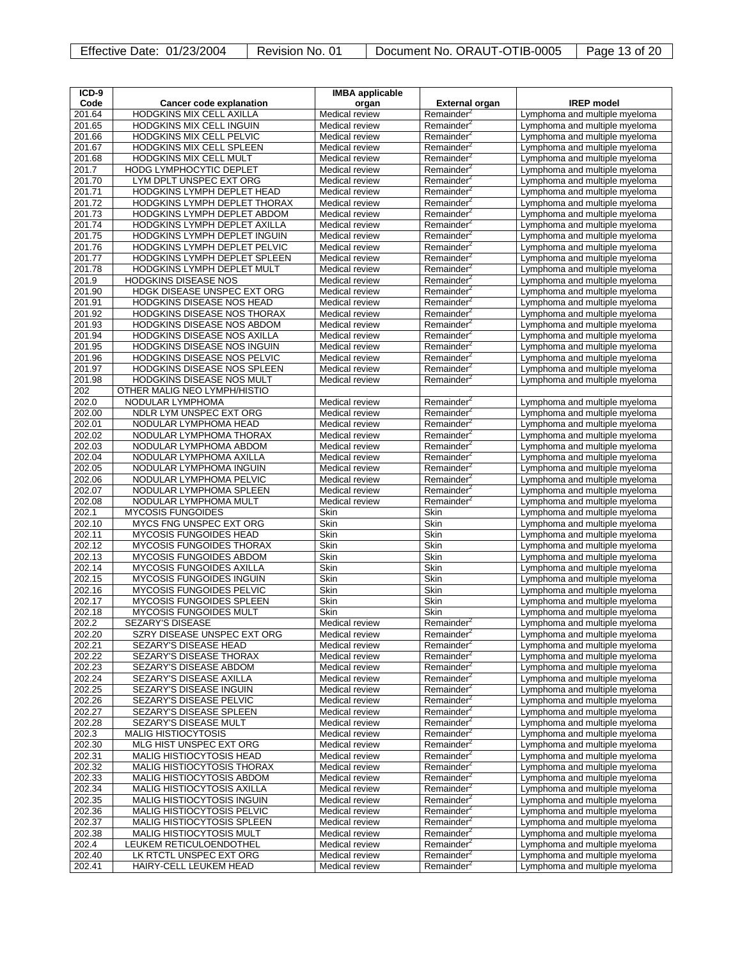| ICD-9            |                                                                    | <b>IMBA</b> applicable |                        |                                                                |
|------------------|--------------------------------------------------------------------|------------------------|------------------------|----------------------------------------------------------------|
| Code             | Cancer code explanation                                            | organ                  | <b>External organ</b>  | <b>IREP</b> model                                              |
| 201.64           | HODGKINS MIX CELL AXILLA                                           | Medical review         | Remainder <sup>2</sup> | Lymphoma and multiple myeloma                                  |
| 201.65           | <b>HODGKINS MIX CELL INGUIN</b>                                    | Medical review         | Remainder <sup>2</sup> | Lymphoma and multiple myeloma                                  |
| 201.66           | HODGKINS MIX CELL PELVIC                                           | Medical review         | Remainder <sup>4</sup> | Lymphoma and multiple myeloma                                  |
| 201.67           | HODGKINS MIX CELL SPLEEN                                           | Medical review         | Remainder <sup>2</sup> | Lymphoma and multiple myeloma                                  |
| 201.68           | HODGKINS MIX CELL MULT                                             | Medical review         | Remainder <sup>2</sup> | Lymphoma and multiple myeloma                                  |
| 201.7            | <b>HODG LYMPHOCYTIC DEPLET</b>                                     | Medical review         | Remainder <sup>2</sup> | Lymphoma and multiple myeloma                                  |
| 201.70           | LYM DPLT UNSPEC EXT ORG                                            | Medical review         | Remainder <sup>2</sup> | Lymphoma and multiple myeloma                                  |
| 201.71           | HODGKINS LYMPH DEPLET HEAD                                         | Medical review         | Remainder <sup>2</sup> | Lymphoma and multiple myeloma                                  |
| 201.72           | HODGKINS LYMPH DEPLET THORAX                                       | Medical review         | Remainder <sup>2</sup> | Lymphoma and multiple myeloma                                  |
| 201.73           | HODGKINS LYMPH DEPLET ABDOM                                        | Medical review         | Remainder <sup>2</sup> | Lymphoma and multiple myeloma                                  |
| 201.74           | HODGKINS LYMPH DEPLET AXILLA                                       | Medical review         | Remainder <sup>2</sup> | Lymphoma and multiple myeloma                                  |
| 201.75           | HODGKINS LYMPH DEPLET INGUIN                                       | Medical review         | Remainder <sup>2</sup> | Lymphoma and multiple myeloma                                  |
| 201.76           | HODGKINS LYMPH DEPLET PELVIC                                       | Medical review         | Remainder <sup>2</sup> | Lymphoma and multiple myeloma                                  |
| 201.77           | HODGKINS LYMPH DEPLET SPLEEN                                       | Medical review         | Remainder <sup>2</sup> | Lymphoma and multiple myeloma                                  |
| 201.78           | HODGKINS LYMPH DEPLET MULT                                         | Medical review         | Remainder <sup>2</sup> | Lymphoma and multiple myeloma                                  |
| 201.9            | <b>HODGKINS DISEASE NOS</b>                                        | Medical review         | Remainder <sup>2</sup> | Lymphoma and multiple myeloma                                  |
| 201.90           | HDGK DISEASE UNSPEC EXT ORG                                        | Medical review         | Remainder <sup>2</sup> | Lymphoma and multiple myeloma                                  |
| 201.91           | HODGKINS DISEASE NOS HEAD                                          | Medical review         | Remainder <sup>4</sup> | Lymphoma and multiple myeloma                                  |
| 201.92           | <b>HODGKINS DISEASE NOS THORAX</b>                                 | Medical review         | Remainder <sup>2</sup> | Lymphoma and multiple myeloma                                  |
| 201.93           | HODGKINS DISEASE NOS ABDOM                                         | Medical review         | Remainder <sup>2</sup> | Lymphoma and multiple myeloma                                  |
| 201.94           | HODGKINS DISEASE NOS AXILLA                                        | Medical review         | Remainder <sup>2</sup> | Lymphoma and multiple myeloma                                  |
| 201.95           | <b>HODGKINS DISEASE NOS INGUIN</b>                                 | Medical review         | Remainder <sup>2</sup> | Lymphoma and multiple myeloma                                  |
| 201.96           | HODGKINS DISEASE NOS PELVIC                                        | Medical review         | Remainder <sup>2</sup> | Lymphoma and multiple myeloma                                  |
| 201.97           | HODGKINS DISEASE NOS SPLEEN                                        | Medical review         | Remainder <sup>2</sup> | Lymphoma and multiple myeloma                                  |
| 201.98           | HODGKINS DISEASE NOS MULT                                          | Medical review         | Remainder <sup>2</sup> | Lymphoma and multiple myeloma                                  |
| 202              | OTHER MALIG NEO LYMPH/HISTIO                                       |                        |                        |                                                                |
| 202.0            | NODULAR LYMPHOMA                                                   | Medical review         | Remainder <sup>2</sup> | Lymphoma and multiple myeloma                                  |
| 202.00           | NDLR LYM UNSPEC EXT ORG                                            | Medical review         | Remainder <sup>2</sup> | Lymphoma and multiple myeloma                                  |
| 202.01           | NODULAR LYMPHOMA HEAD                                              | Medical review         | Remainder <sup>2</sup> | Lymphoma and multiple myeloma                                  |
| 202.02           | NODULAR LYMPHOMA THORAX                                            | Medical review         | Remainder <sup>2</sup> | Lymphoma and multiple myeloma                                  |
| 202.03           | NODULAR LYMPHOMA ABDOM                                             | Medical review         | Remainder <sup>2</sup> | Lymphoma and multiple myeloma                                  |
| 202.04           | NODULAR LYMPHOMA AXILLA                                            | Medical review         | Remainder <sup>2</sup> | Lymphoma and multiple myeloma                                  |
| 202.05           | NODULAR LYMPHOMA INGUIN                                            | Medical review         | Remainder <sup>2</sup> | Lymphoma and multiple myeloma                                  |
| 202.06           | NODULAR LYMPHOMA PELVIC                                            | Medical review         | Remainder <sup>2</sup> | Lymphoma and multiple myeloma                                  |
| 202.07           | NODULAR LYMPHOMA SPLEEN                                            | Medical review         | Remainder <sup>2</sup> | Lymphoma and multiple myeloma                                  |
| 202.08           | NODULAR LYMPHOMA MULT                                              | Medical review         | Remainder <sup>2</sup> | Lymphoma and multiple myeloma                                  |
| 202.1            | <b>MYCOSIS FUNGOIDES</b>                                           | Skin                   | Skin                   | Lymphoma and multiple myeloma                                  |
| 202.10           | MYCS FNG UNSPEC EXT ORG                                            | Skin                   | Skin                   | Lymphoma and multiple myeloma                                  |
| 202.11           | <b>MYCOSIS FUNGOIDES HEAD</b>                                      | Skin                   | Skin                   | Lymphoma and multiple myeloma                                  |
| 202.12           | MYCOSIS FUNGOIDES THORAX                                           | Skin                   | Skin                   | Lymphoma and multiple myeloma                                  |
| 202.13           | MYCOSIS FUNGOIDES ABDOM                                            | Skin                   | Skin<br>Skin           | Lymphoma and multiple myeloma                                  |
| 202.14<br>202.15 | <b>MYCOSIS FUNGOIDES AXILLA</b><br><b>MYCOSIS FUNGOIDES INGUIN</b> | Skin<br>Skin           | Skin                   | Lymphoma and multiple myeloma                                  |
| 202.16           | <b>MYCOSIS FUNGOIDES PELVIC</b>                                    | Skin                   | Skin                   | Lymphoma and multiple myeloma<br>Lymphoma and multiple myeloma |
| 202.17           | <b>MYCOSIS FUNGOIDES SPLEEN</b>                                    | Skin                   | Skin                   |                                                                |
| 202.18           | MYCOSIS FUNGOIDES MULT                                             | Skin                   | Skin                   | Lymphoma and multiple myeloma<br>Lymphoma and multiple myeloma |
| 202.2            | <b>SEZARY'S DISEASE</b>                                            | Medical review         | Remainder <sup>2</sup> | Lymphoma and multiple myeloma                                  |
| 202.20           | SZRY DISEASE UNSPEC EXT ORG                                        | Medical review         | Remainder <sup>2</sup> | Lymphoma and multiple myeloma                                  |
| 202.21           | SEZARY'S DISEASE HEAD                                              | Medical review         | Remainder <sup>2</sup> | Lymphoma and multiple myeloma                                  |
| 202.22           | SEZARY'S DISEASE THORAX                                            | Medical review         | Remainder <sup>2</sup> | Lymphoma and multiple myeloma                                  |
| 202.23           | SEZARY'S DISEASE ABDOM                                             | Medical review         | Remainder <sup>2</sup> | Lymphoma and multiple myeloma                                  |
| 202.24           | SEZARY'S DISEASE AXILLA                                            | Medical review         | Remainder <sup>2</sup> | Lymphoma and multiple myeloma                                  |
| 202.25           | SEZARY'S DISEASE INGUIN                                            | Medical review         | Remainder <sup>2</sup> | Lymphoma and multiple myeloma                                  |
| 202.26           | SEZARY'S DISEASE PELVIC                                            | Medical review         | Remainder <sup>2</sup> | Lymphoma and multiple myeloma                                  |
| 202.27           | SEZARY'S DISEASE SPLEEN                                            | Medical review         | Remainder <sup>2</sup> | Lymphoma and multiple myeloma                                  |
| 202.28           | SEZARY'S DISEASE MULT                                              | Medical review         | Remainder <sup>2</sup> | Lymphoma and multiple myeloma                                  |
| 202.3            | <b>MALIG HISTIOCYTOSIS</b>                                         | Medical review         | Remainder <sup>2</sup> | Lymphoma and multiple myeloma                                  |
| 202.30           | MLG HIST UNSPEC EXT ORG                                            | Medical review         | Remainder <sup>2</sup> | Lymphoma and multiple myeloma                                  |
| 202.31           | <b>MALIG HISTIOCYTOSIS HEAD</b>                                    | Medical review         | Remainder <sup>2</sup> | Lymphoma and multiple myeloma                                  |
| 202.32           | MALIG HISTIOCYTOSIS THORAX                                         | Medical review         | Remainder <sup>2</sup> | Lymphoma and multiple myeloma                                  |
| 202.33           | MALIG HISTIOCYTOSIS ABDOM                                          | Medical review         | Remainder <sup>2</sup> | Lymphoma and multiple myeloma                                  |
| 202.34           | MALIG HISTIOCYTOSIS AXILLA                                         | Medical review         | Remainder <sup>2</sup> | Lymphoma and multiple myeloma                                  |
| 202.35           | MALIG HISTIOCYTOSIS INGUIN                                         | Medical review         | Remainder <sup>2</sup> | Lymphoma and multiple myeloma                                  |
| 202.36           | MALIG HISTIOCYTOSIS PELVIC                                         | Medical review         | Remainder <sup>2</sup> | Lymphoma and multiple myeloma                                  |
| 202.37           | <b>MALIG HISTIOCYTOSIS SPLEEN</b>                                  | Medical review         | Remainder <sup>2</sup> | Lymphoma and multiple myeloma                                  |
| 202.38           | MALIG HISTIOCYTOSIS MULT                                           | Medical review         | Remainder <sup>2</sup> | Lymphoma and multiple myeloma                                  |
| 202.4            | LEUKEM RETICULOENDOTHEL                                            | Medical review         | Remainder <sup>2</sup> | Lymphoma and multiple myeloma                                  |
| 202.40           | LK RTCTL UNSPEC EXT ORG                                            | Medical review         | Remainder <sup>2</sup> | Lymphoma and multiple myeloma                                  |
| 202.41           | HAIRY-CELL LEUKEM HEAD                                             | Medical review         | Remainder <sup>2</sup> | Lymphoma and multiple myeloma                                  |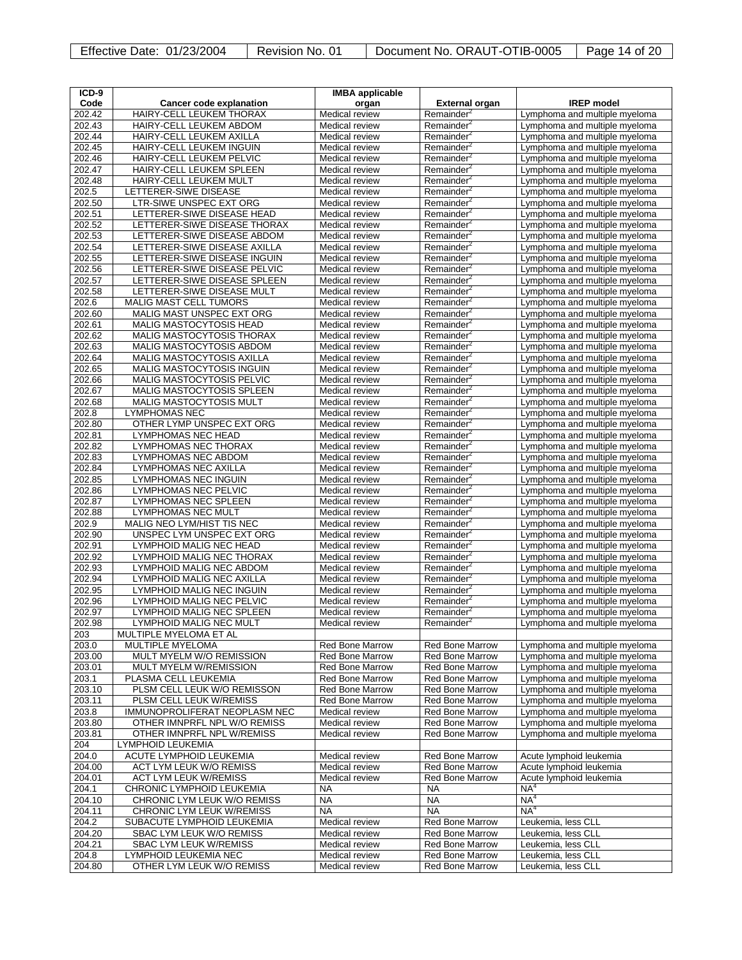|  | <b>Effective Date: 01/23/2004</b> |
|--|-----------------------------------|
|  |                                   |

| $ICD-9$          |                                                              | <b>IMBA</b> applicable           |                                                  |                                                                |
|------------------|--------------------------------------------------------------|----------------------------------|--------------------------------------------------|----------------------------------------------------------------|
| Code             | <b>Cancer code explanation</b>                               | organ                            | <b>External organ</b>                            | <b>IREP</b> model                                              |
| 202.42           | HAIRY-CELL LEUKEM THORAX                                     | Medical review                   | Remainder <sup>2</sup>                           | Lymphoma and multiple myeloma                                  |
| 202.43           | HAIRY-CELL LEUKEM ABDOM                                      | Medical review                   | Remainder <sup>2</sup>                           | Lymphoma and multiple myeloma                                  |
| 202.44           | HAIRY-CELL LEUKEM AXILLA                                     | Medical review                   | Remainder <sup>4</sup>                           | Lymphoma and multiple myeloma                                  |
| 202.45           | HAIRY-CELL LEUKEM INGUIN                                     | Medical review                   | Remainder <sup>2</sup>                           | Lymphoma and multiple myeloma                                  |
| 202.46           | HAIRY-CELL LEUKEM PELVIC                                     | Medical review                   | Remainder <sup>2</sup>                           | Lymphoma and multiple myeloma                                  |
| 202.47           | HAIRY-CELL LEUKEM SPLEEN                                     | Medical review                   | Remainder <sup>2</sup>                           | Lymphoma and multiple myeloma                                  |
| 202.48           | HAIRY-CELL LEUKEM MULT                                       | Medical review                   | Remainder <sup>2</sup>                           | Lymphoma and multiple myeloma                                  |
| 202.5            | LETTERER-SIWE DISEASE                                        | Medical review                   | Remainder <sup>2</sup>                           | Lymphoma and multiple myeloma                                  |
| 202.50           | LTR-SIWE UNSPEC EXT ORG                                      | Medical review                   | Remainder <sup>2</sup>                           | Lymphoma and multiple myeloma                                  |
| 202.51           | LETTERER-SIWE DISEASE HEAD                                   | Medical review                   | Remainder <sup>2</sup>                           | Lymphoma and multiple myeloma                                  |
| 202.52           | LETTERER-SIWE DISEASE THORAX                                 | Medical review                   | Remainder <sup>2</sup>                           | Lymphoma and multiple myeloma                                  |
| 202.53           | LETTERER-SIWE DISEASE ABDOM                                  | Medical review                   | Remainder <sup>2</sup>                           | Lymphoma and multiple myeloma                                  |
| 202.54<br>202.55 | LETTERER-SIWE DISEASE AXILLA<br>LETTERER-SIWE DISEASE INGUIN | Medical review                   | Remainder <sup>2</sup>                           | Lymphoma and multiple myeloma                                  |
|                  |                                                              | Medical review                   | Remainder <sup>2</sup>                           | Lymphoma and multiple myeloma                                  |
| 202.56<br>202.57 | LETTERER-SIWE DISEASE PELVIC<br>LETTERER-SIWE DISEASE SPLEEN | Medical review<br>Medical review | Remainder <sup>2</sup>                           | Lymphoma and multiple myeloma                                  |
| 202.58           | LETTERER-SIWE DISEASE MULT                                   | Medical review                   | Remainder <sup>2</sup><br>Remainder <sup>2</sup> | Lymphoma and multiple myeloma                                  |
| 202.6            | <b>MALIG MAST CELL TUMORS</b>                                | Medical review                   | Remainder <sup>2</sup>                           | Lymphoma and multiple myeloma<br>Lymphoma and multiple myeloma |
| 202.60           | MALIG MAST UNSPEC EXT ORG                                    | Medical review                   | Remainder <sup>2</sup>                           | Lymphoma and multiple myeloma                                  |
| 202.61           | MALIG MASTOCYTOSIS HEAD                                      | Medical review                   | Remainder <sup>2</sup>                           | Lymphoma and multiple myeloma                                  |
| 202.62           | <b>MALIG MASTOCYTOSIS THORAX</b>                             | Medical review                   | Remainder <sup>2</sup>                           | Lymphoma and multiple myeloma                                  |
| 202.63           | <b>MALIG MASTOCYTOSIS ABDOM</b>                              | Medical review                   | Remainder <sup>2</sup>                           | Lymphoma and multiple myeloma                                  |
| 202.64           | MALIG MASTOCYTOSIS AXILLA                                    | Medical review                   | Remainder <sup>2</sup>                           | Lymphoma and multiple myeloma                                  |
| 202.65           | <b>MALIG MASTOCYTOSIS INGUIN</b>                             | Medical review                   | Remainder <sup>2</sup>                           | Lymphoma and multiple myeloma                                  |
| 202.66           | MALIG MASTOCYTOSIS PELVIC                                    | Medical review                   | Remainder <sup>2</sup>                           | Lymphoma and multiple myeloma                                  |
| 202.67           | MALIG MASTOCYTOSIS SPLEEN                                    | Medical review                   | Remainder <sup>2</sup>                           | Lymphoma and multiple myeloma                                  |
| 202.68           | MALIG MASTOCYTOSIS MULT                                      | Medical review                   | Remainder <sup>2</sup>                           | Lymphoma and multiple myeloma                                  |
| 202.8            | <b>LYMPHOMAS NEC</b>                                         | Medical review                   | Remainder <sup>2</sup>                           | Lymphoma and multiple myeloma                                  |
| 202.80           | OTHER LYMP UNSPEC EXT ORG                                    | Medical review                   | Remainder <sup>2</sup>                           | Lymphoma and multiple myeloma                                  |
| 202.81           | <b>LYMPHOMAS NEC HEAD</b>                                    | Medical review                   | Remainder <sup>2</sup>                           | Lymphoma and multiple myeloma                                  |
| 202.82           | LYMPHOMAS NEC THORAX                                         | Medical review                   | Remainder <sup>2</sup>                           | Lymphoma and multiple myeloma                                  |
| 202.83           | LYMPHOMAS NEC ABDOM                                          | Medical review                   | Remainder <sup>2</sup>                           | Lymphoma and multiple myeloma                                  |
| 202.84           | <b>LYMPHOMAS NEC AXILLA</b>                                  | Medical review                   | Remainder <sup>2</sup>                           | Lymphoma and multiple myeloma                                  |
| 202.85           | <b>LYMPHOMAS NEC INGUIN</b>                                  | Medical review                   | Remainder <sup>2</sup>                           | Lymphoma and multiple myeloma                                  |
| 202.86           | LYMPHOMAS NEC PELVIC                                         | Medical review                   | Remainder <sup>2</sup>                           | Lymphoma and multiple myeloma                                  |
| 202.87           | <b>LYMPHOMAS NEC SPLEEN</b>                                  | Medical review                   | Remainder <sup>2</sup>                           | Lymphoma and multiple myeloma                                  |
| 202.88           | <b>LYMPHOMAS NEC MULT</b>                                    | Medical review                   | Remainder <sup>2</sup>                           | Lymphoma and multiple myeloma                                  |
| 202.9            | MALIG NEO LYM/HIST TIS NEC                                   | Medical review                   | Remainder <sup>2</sup>                           | Lymphoma and multiple myeloma                                  |
| 202.90           | UNSPEC LYM UNSPEC EXT ORG                                    | Medical review                   | Remainder <sup>2</sup>                           | Lymphoma and multiple myeloma                                  |
| 202.91<br>202.92 | LYMPHOID MALIG NEC HEAD<br><b>LYMPHOID MALIG NEC THORAX</b>  | Medical review<br>Medical review | Remainder <sup>4</sup><br>Remainder <sup>2</sup> | Lymphoma and multiple myeloma                                  |
| 202.93           | LYMPHOID MALIG NEC ABDOM                                     | Medical review                   | Remainder <sup>2</sup>                           | Lymphoma and multiple myeloma<br>Lymphoma and multiple myeloma |
| 202.94           | LYMPHOID MALIG NEC AXILLA                                    | Medical review                   | Remainder <sup>2</sup>                           | Lymphoma and multiple myeloma                                  |
| 202.95           | LYMPHOID MALIG NEC INGUIN                                    | Medical review                   | Remainder <sup>2</sup>                           | Lymphoma and multiple myeloma                                  |
| 202.96           | LYMPHOID MALIG NEC PELVIC                                    | Medical review                   | Remainder <sup>2</sup>                           | Lymphoma and multiple myeloma                                  |
| 202.97           | LYMPHOID MALIG NEC SPLEEN                                    | Medical review                   | Remainder <sup>2</sup>                           | Lymphoma and multiple myeloma                                  |
| 202.98           | <b>LYMPHOID MALIG NEC MULT</b>                               | Medical review                   | Remainder <sup>2</sup>                           | Lymphoma and multiple myeloma                                  |
| 203              | MULTIPLE MYELOMA ET AL                                       |                                  |                                                  |                                                                |
| 203.0            | MULTIPLE MYELOMA                                             | Red Bone Marrow                  | Red Bone Marrow                                  | Lymphoma and multiple myeloma                                  |
| 203.00           | MULT MYELM W/O REMISSION                                     | <b>Red Bone Marrow</b>           | <b>Red Bone Marrow</b>                           | Lymphoma and multiple myeloma                                  |
| 203.01           | MULT MYELM W/REMISSION                                       | Red Bone Marrow                  | <b>Red Bone Marrow</b>                           | Lymphoma and multiple myeloma                                  |
| 203.1            | PLASMA CELL LEUKEMIA                                         | <b>Red Bone Marrow</b>           | <b>Red Bone Marrow</b>                           | Lymphoma and multiple myeloma                                  |
| 203.10           | PLSM CELL LEUK W/O REMISSON                                  | Red Bone Marrow                  | Red Bone Marrow                                  | Lymphoma and multiple myeloma                                  |
| 203.11           | PLSM CELL LEUK W/REMISS                                      | Red Bone Marrow                  | Red Bone Marrow                                  | Lymphoma and multiple myeloma                                  |
| 203.8            | IMMUNOPROLIFERAT NEOPLASM NEC                                | Medical review                   | <b>Red Bone Marrow</b>                           | Lymphoma and multiple myeloma                                  |
| 203.80           | OTHER IMNPRFL NPL W/O REMISS                                 | Medical review                   | <b>Red Bone Marrow</b>                           | Lymphoma and multiple myeloma                                  |
| 203.81           | OTHER IMNPRFL NPL W/REMISS                                   | Medical review                   | <b>Red Bone Marrow</b>                           | Lymphoma and multiple myeloma                                  |
| 204              | LYMPHOID LEUKEMIA                                            |                                  |                                                  |                                                                |
| 204.0            | ACUTE LYMPHOID LEUKEMIA                                      | Medical review                   | Red Bone Marrow                                  | Acute lymphoid leukemia                                        |
| 204.00           | <b>ACT LYM LEUK W/O REMISS</b>                               | Medical review                   | Red Bone Marrow                                  | Acute lymphoid leukemia                                        |
| 204.01           | <b>ACT LYM LEUK W/REMISS</b>                                 | Medical review                   | <b>Red Bone Marrow</b>                           | Acute lymphoid leukemia                                        |
| 204.1            | CHRONIC LYMPHOID LEUKEMIA                                    | NA                               | NA                                               | NA <sup>4</sup>                                                |
| 204.10           | CHRONIC LYM LEUK W/O REMISS                                  | <b>NA</b>                        | <b>NA</b>                                        | NA <sup>4</sup><br>NA <sup>4</sup>                             |
| 204.11<br>204.2  | CHRONIC LYM LEUK W/REMISS<br>SUBACUTE LYMPHOID LEUKEMIA      | <b>NA</b>                        | <b>NA</b><br>Red Bone Marrow                     | Leukemia, less CLL                                             |
| 204.20           | SBAC LYM LEUK W/O REMISS                                     | Medical review<br>Medical review | <b>Red Bone Marrow</b>                           | Leukemia, less CLL                                             |
| 204.21           | SBAC LYM LEUK W/REMISS                                       | Medical review                   | <b>Red Bone Marrow</b>                           | Leukemia, less CLL                                             |
| 204.8            | LYMPHOID LEUKEMIA NEC                                        | Medical review                   | <b>Red Bone Marrow</b>                           | Leukemia, less CLL                                             |
| 204.80           | OTHER LYM LEUK W/O REMISS                                    | Medical review                   | <b>Red Bone Marrow</b>                           | Leukemia, less CLL                                             |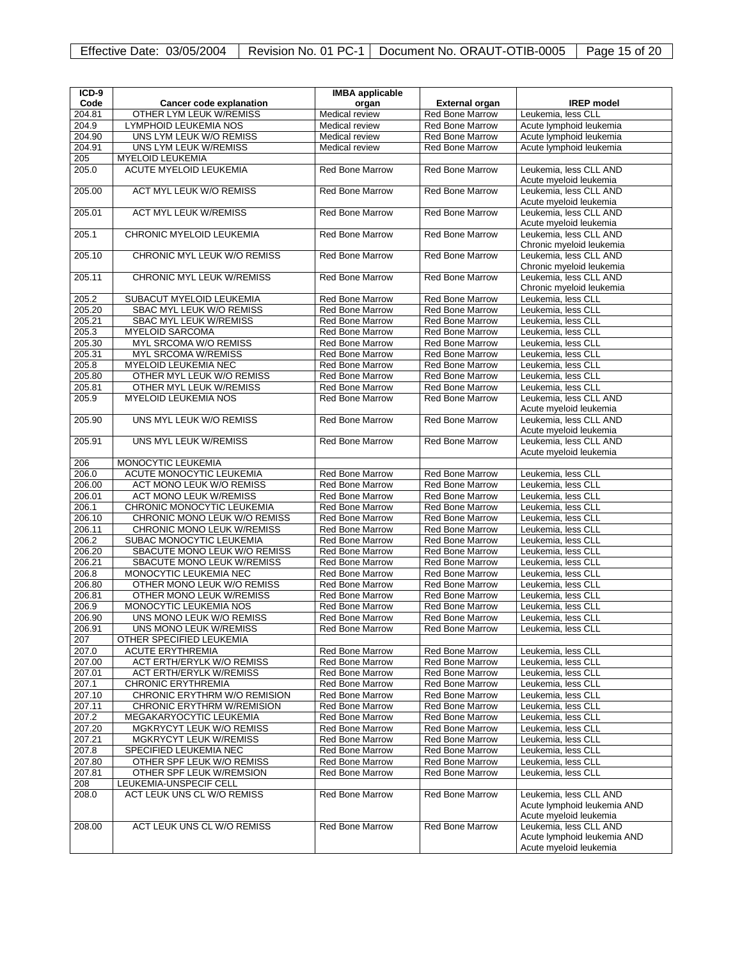| ICD-9           |                                                             | <b>IMBA</b> applicable                           |                                                  |                                          |
|-----------------|-------------------------------------------------------------|--------------------------------------------------|--------------------------------------------------|------------------------------------------|
| Code            | Cancer code explanation                                     | organ                                            | <b>External organ</b>                            | <b>IREP</b> model                        |
| 204.81          | OTHER LYM LEUK W/REMISS                                     | Medical review                                   | <b>Red Bone Marrow</b>                           | Leukemia, less CLL                       |
| 204.9           | LYMPHOID LEUKEMIA NOS                                       | Medical review                                   | <b>Red Bone Marrow</b>                           | Acute lymphoid leukemia                  |
| 204.90          | UNS LYM LEUK W/O REMISS                                     | Medical review                                   | Red Bone Marrow                                  | Acute lymphoid leukemia                  |
| 204.91          | UNS LYM LEUK W/REMISS                                       | Medical review                                   | <b>Red Bone Marrow</b>                           | Acute lymphoid leukemia                  |
| 205             | <b>MYELOID LEUKEMIA</b>                                     |                                                  |                                                  |                                          |
| 205.0           | <b>ACUTE MYELOID LEUKEMIA</b>                               | <b>Red Bone Marrow</b>                           | <b>Red Bone Marrow</b>                           | Leukemia, less CLL AND                   |
|                 |                                                             |                                                  |                                                  | Acute myeloid leukemia                   |
| 205.00          | <b>ACT MYL LEUK W/O REMISS</b>                              | <b>Red Bone Marrow</b>                           | Red Bone Marrow                                  | Leukemia, less CLL AND                   |
|                 |                                                             |                                                  |                                                  | Acute myeloid leukemia                   |
| 205.01          | <b>ACT MYL LEUK W/REMISS</b>                                | <b>Red Bone Marrow</b>                           | <b>Red Bone Marrow</b>                           | Leukemia, less CLL AND                   |
|                 |                                                             |                                                  |                                                  | Acute myeloid leukemia                   |
| 205.1           | CHRONIC MYELOID LEUKEMIA                                    | <b>Red Bone Marrow</b>                           | <b>Red Bone Marrow</b>                           | Leukemia, less CLL AND                   |
|                 |                                                             |                                                  |                                                  | Chronic myeloid leukemia                 |
| 205.10          | CHRONIC MYL LEUK W/O REMISS                                 | <b>Red Bone Marrow</b>                           | <b>Red Bone Marrow</b>                           | Leukemia, less CLL AND                   |
|                 |                                                             |                                                  |                                                  | Chronic myeloid leukemia                 |
| 205.11          | <b>CHRONIC MYL LEUK W/REMISS</b>                            | <b>Red Bone Marrow</b>                           | <b>Red Bone Marrow</b>                           | Leukemia, less CLL AND                   |
|                 |                                                             |                                                  |                                                  | Chronic myeloid leukemia                 |
| 205.2           | SUBACUT MYELOID LEUKEMIA                                    | Red Bone Marrow                                  | <b>Red Bone Marrow</b>                           | Leukemia, less CLL                       |
| 205.20          | SBAC MYL LEUK W/O REMISS                                    | <b>Red Bone Marrow</b>                           | <b>Red Bone Marrow</b>                           | Leukemia, less CLL                       |
| 205.21          | SBAC MYL LEUK W/REMISS                                      | <b>Red Bone Marrow</b>                           | <b>Red Bone Marrow</b>                           | Leukemia, less CLL                       |
| 205.3           | <b>MYELOID SARCOMA</b>                                      | <b>Red Bone Marrow</b>                           | <b>Red Bone Marrow</b>                           | Leukemia, less CLL                       |
| 205.30          | MYL SRCOMA W/O REMISS                                       | <b>Red Bone Marrow</b>                           | <b>Red Bone Marrow</b>                           | Leukemia, less CLL                       |
| 205.31          | <b>MYL SRCOMA W/REMISS</b>                                  | <b>Red Bone Marrow</b>                           | <b>Red Bone Marrow</b>                           | Leukemia, less CLL                       |
| 205.8           | <b>MYELOID LEUKEMIA NEC</b>                                 | <b>Red Bone Marrow</b>                           | <b>Red Bone Marrow</b>                           | Leukemia, less CLL                       |
| 205.80          | OTHER MYL LEUK W/O REMISS                                   | <b>Red Bone Marrow</b>                           | <b>Red Bone Marrow</b>                           | Leukemia, less CLL                       |
| 205.81          | OTHER MYL LEUK W/REMISS                                     | <b>Red Bone Marrow</b>                           | <b>Red Bone Marrow</b>                           | Leukemia, less CLL                       |
| 205.9           | <b>MYELOID LEUKEMIA NOS</b>                                 | <b>Red Bone Marrow</b>                           | <b>Red Bone Marrow</b>                           | Leukemia. less CLL AND                   |
|                 |                                                             |                                                  |                                                  | Acute myeloid leukemia                   |
| 205.90          | UNS MYL LEUK W/O REMISS                                     | <b>Red Bone Marrow</b>                           | <b>Red Bone Marrow</b>                           | Leukemia. less CLL AND                   |
|                 |                                                             |                                                  |                                                  | Acute myeloid leukemia                   |
| 205.91          | UNS MYL LEUK W/REMISS                                       | <b>Red Bone Marrow</b>                           | <b>Red Bone Marrow</b>                           | Leukemia, less CLL AND                   |
|                 |                                                             |                                                  |                                                  | Acute myeloid leukemia                   |
| 206             | MONOCYTIC LEUKEMIA                                          |                                                  |                                                  |                                          |
| 206.0<br>206.00 | ACUTE MONOCYTIC LEUKEMIA<br><b>ACT MONO LEUK W/O REMISS</b> | Red Bone Marrow<br><b>Red Bone Marrow</b>        | <b>Red Bone Marrow</b><br>Red Bone Marrow        | Leukemia, less CLL<br>Leukemia, less CLL |
|                 |                                                             |                                                  |                                                  |                                          |
| 206.01<br>206.1 | <b>ACT MONO LEUK W/REMISS</b><br>CHRONIC MONOCYTIC LEUKEMIA | <b>Red Bone Marrow</b><br><b>Red Bone Marrow</b> | <b>Red Bone Marrow</b><br><b>Red Bone Marrow</b> | Leukemia, less CLL<br>Leukemia, less CLL |
| 206.10          | CHRONIC MONO LEUK W/O REMISS                                | <b>Red Bone Marrow</b>                           | <b>Red Bone Marrow</b>                           | Leukemia, less CLL                       |
| 206.11          | CHRONIC MONO LEUK W/REMISS                                  | Red Bone Marrow                                  | Red Bone Marrow                                  | Leukemia, less CLL                       |
| 206.2           | SUBAC MONOCYTIC LEUKEMIA                                    | <b>Red Bone Marrow</b>                           | <b>Red Bone Marrow</b>                           | Leukemia, less CLL                       |
| 206.20          | SBACUTE MONO LEUK W/O REMISS                                | <b>Red Bone Marrow</b>                           | <b>Red Bone Marrow</b>                           | Leukemia, less CLL                       |
| 206.21          | <b>SBACUTE MONO LEUK W/REMISS</b>                           | <b>Red Bone Marrow</b>                           | <b>Red Bone Marrow</b>                           | Leukemia, less CLL                       |
| 206.8           | MONOCYTIC LEUKEMIA NEC                                      | <b>Red Bone Marrow</b>                           | <b>Red Bone Marrow</b>                           | Leukemia, less CLL                       |
| 206.80          | OTHER MONO LEUK W/O REMISS                                  | <b>Red Bone Marrow</b>                           | <b>Red Bone Marrow</b>                           | Leukemia, less CLL                       |
| 206.81          | OTHER MONO LEUK W/REMISS                                    | <b>Red Bone Marrow</b>                           | <b>Red Bone Marrow</b>                           | Leukemia, less CLL                       |
| 206.9           | MONOCYTIC LEUKEMIA NOS                                      | <b>Red Bone Marrow</b>                           | <b>Red Bone Marrow</b>                           | Leukemia, less CLL                       |
| 206.90          | UNS MONO LEUK W/O REMISS                                    | <b>Red Bone Marrow</b>                           | <b>Red Bone Marrow</b>                           | Leukemia, less CLL                       |
| 206.91          | <b>UNS MONO LEUK W/REMISS</b>                               | <b>Red Bone Marrow</b>                           | <b>Red Bone Marrow</b>                           | Leukemia, less CLL                       |
| 207             | OTHER SPECIFIED LEUKEMIA                                    |                                                  |                                                  |                                          |
| 207.0           | <b>ACUTE ERYTHREMIA</b>                                     | Red Bone Marrow                                  | <b>Red Bone Marrow</b>                           | Leukemia, less CLL                       |
| 207.00          | <b>ACT ERTH/ERYLK W/O REMISS</b>                            | <b>Red Bone Marrow</b>                           | <b>Red Bone Marrow</b>                           | Leukemia, less CLL                       |
| 207.01          | <b>ACT ERTH/ERYLK W/REMISS</b>                              | <b>Red Bone Marrow</b>                           | <b>Red Bone Marrow</b>                           | Leukemia, less CLL                       |
| 207.1           | <b>CHRONIC ERYTHREMIA</b>                                   | <b>Red Bone Marrow</b>                           | <b>Red Bone Marrow</b>                           | Leukemia, less CLL                       |
| 207.10          | CHRONIC ERYTHRM W/O REMISION                                | Red Bone Marrow                                  | <b>Red Bone Marrow</b>                           | Leukemia, less CLL                       |
| 207.11          | CHRONIC ERYTHRM W/REMISION                                  | <b>Red Bone Marrow</b>                           | <b>Red Bone Marrow</b>                           | Leukemia, less CLL                       |
| 207.2           | MEGAKARYOCYTIC LEUKEMIA                                     | <b>Red Bone Marrow</b>                           | Red Bone Marrow                                  | Leukemia, less CLL                       |
| 207.20          | MGKRYCYT LEUK W/O REMISS                                    | <b>Red Bone Marrow</b>                           | <b>Red Bone Marrow</b>                           | Leukemia, less CLL                       |
| 207.21          | MGKRYCYT LEUK W/REMISS                                      | <b>Red Bone Marrow</b>                           | <b>Red Bone Marrow</b>                           | Leukemia, less CLL                       |
| 207.8           | SPECIFIED LEUKEMIA NEC                                      | <b>Red Bone Marrow</b>                           | <b>Red Bone Marrow</b>                           | Leukemia, less CLL                       |
| 207.80          | OTHER SPF LEUK W/O REMISS                                   | <b>Red Bone Marrow</b>                           | <b>Red Bone Marrow</b>                           | Leukemia, less CLL                       |
| 207.81          | OTHER SPF LEUK W/REMSION                                    | <b>Red Bone Marrow</b>                           | <b>Red Bone Marrow</b>                           | Leukemia, less CLL                       |
| 208             | LEUKEMIA-UNSPECIF CELL                                      |                                                  |                                                  |                                          |
| 208.0           | ACT LEUK UNS CL W/O REMISS                                  | <b>Red Bone Marrow</b>                           | <b>Red Bone Marrow</b>                           | Leukemia, less CLL AND                   |
|                 |                                                             |                                                  |                                                  | Acute lymphoid leukemia AND              |
|                 |                                                             |                                                  |                                                  | Acute myeloid leukemia                   |
| 208.00          | ACT LEUK UNS CL W/O REMISS                                  | <b>Red Bone Marrow</b>                           | <b>Red Bone Marrow</b>                           | Leukemia, less CLL AND                   |
|                 |                                                             |                                                  |                                                  | Acute lymphoid leukemia AND              |
|                 |                                                             |                                                  |                                                  | Acute myeloid leukemia                   |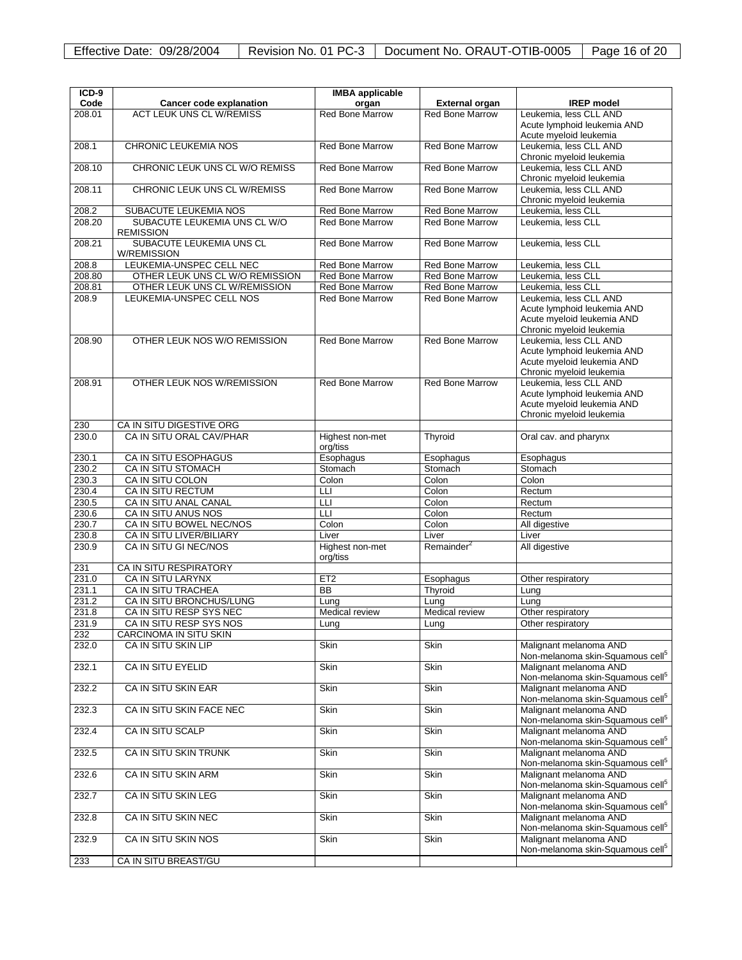| $ICD-9$        |                                                  | <b>IMBA</b> applicable      |                            |                                                                                                                 |
|----------------|--------------------------------------------------|-----------------------------|----------------------------|-----------------------------------------------------------------------------------------------------------------|
| Code           | Cancer code explanation                          | organ                       | <b>External organ</b>      | <b>IREP</b> model                                                                                               |
| 208.01         | <b>ACT LEUK UNS CL W/REMISS</b>                  | <b>Red Bone Marrow</b>      | <b>Red Bone Marrow</b>     | Leukemia, less CLL AND<br>Acute lymphoid leukemia AND<br>Acute myeloid leukemia                                 |
| 208.1          | <b>CHRONIC LEUKEMIA NOS</b>                      | <b>Red Bone Marrow</b>      | <b>Red Bone Marrow</b>     | Leukemia, less CLL AND<br>Chronic myeloid leukemia                                                              |
| 208.10         | CHRONIC LEUK UNS CL W/O REMISS                   | <b>Red Bone Marrow</b>      | <b>Red Bone Marrow</b>     | Leukemia, less CLL AND<br>Chronic myeloid leukemia                                                              |
| 208.11         | CHRONIC LEUK UNS CL W/REMISS                     | <b>Red Bone Marrow</b>      | <b>Red Bone Marrow</b>     | Leukemia, less CLL AND<br>Chronic myeloid leukemia                                                              |
| 208.2          | SUBACUTE LEUKEMIA NOS                            | Red Bone Marrow             | Red Bone Marrow            | Leukemia, less CLL                                                                                              |
| 208.20         | SUBACUTE LEUKEMIA UNS CL W/O<br><b>REMISSION</b> | <b>Red Bone Marrow</b>      | <b>Red Bone Marrow</b>     | Leukemia, less CLL                                                                                              |
| 208.21         | SUBACUTE LEUKEMIA UNS CL<br><b>W/REMISSION</b>   | <b>Red Bone Marrow</b>      | <b>Red Bone Marrow</b>     | Leukemia, less CLL                                                                                              |
| 208.8          | LEUKEMIA-UNSPEC CELL NEC                         | <b>Red Bone Marrow</b>      | <b>Red Bone Marrow</b>     | Leukemia, less CLL                                                                                              |
| 208.80         | OTHER LEUK UNS CL W/O REMISSION                  | <b>Red Bone Marrow</b>      | <b>Red Bone Marrow</b>     | Leukemia, less CLL                                                                                              |
| 208.81         | OTHER LEUK UNS CL W/REMISSION                    | <b>Red Bone Marrow</b>      | <b>Red Bone Marrow</b>     | Leukemia, less CLL                                                                                              |
| 208.9          | LEUKEMIA-UNSPEC CELL NOS                         | <b>Red Bone Marrow</b>      | <b>Red Bone Marrow</b>     | Leukemia, less CLL AND<br>Acute lymphoid leukemia AND<br>Acute myeloid leukemia AND<br>Chronic myeloid leukemia |
| 208.90         | OTHER LEUK NOS W/O REMISSION                     | <b>Red Bone Marrow</b>      | <b>Red Bone Marrow</b>     | Leukemia, less CLL AND<br>Acute lymphoid leukemia AND<br>Acute myeloid leukemia AND<br>Chronic myeloid leukemia |
| 208.91         | OTHER LEUK NOS W/REMISSION                       | <b>Red Bone Marrow</b>      | <b>Red Bone Marrow</b>     | Leukemia, less CLL AND<br>Acute lymphoid leukemia AND<br>Acute myeloid leukemia AND<br>Chronic myeloid leukemia |
| 230            | CA IN SITU DIGESTIVE ORG                         |                             |                            |                                                                                                                 |
| 230.0          | CA IN SITU ORAL CAV/PHAR                         | Highest non-met<br>org/tiss | Thyroid                    | Oral cav. and pharynx                                                                                           |
| 230.1          | CA IN SITU ESOPHAGUS                             | Esophagus                   | Esophagus                  | Esophagus                                                                                                       |
| 230.2          | <b>CA IN SITU STOMACH</b>                        | Stomach                     | Stomach                    | Stomach                                                                                                         |
| 230.3          | CA IN SITU COLON                                 | Colon                       | Colon                      | Colon                                                                                                           |
| 230.4          | <b>CA IN SITU RECTUM</b>                         | LLI                         | Colon                      | Rectum                                                                                                          |
| 230.5          | CA IN SITU ANAL CANAL                            | LLI                         | Colon                      | Rectum                                                                                                          |
| 230.6          | CA IN SITU ANUS NOS                              | LLI                         | Colon                      | Rectum                                                                                                          |
| 230.7          | CA IN SITU BOWEL NEC/NOS                         | Colon                       | Colon                      | All digestive                                                                                                   |
| 230.8          | CA IN SITU LIVER/BILIARY                         | Liver                       | Liver                      | Liver                                                                                                           |
| 230.9          | CA IN SITU GI NEC/NOS                            | Highest non-met<br>org/tiss | Remainder <sup>2</sup>     | All digestive                                                                                                   |
| 231            | CA IN SITU RESPIRATORY                           |                             |                            |                                                                                                                 |
| 231.0          | CA IN SITU LARYNX                                | ET2                         | Esophagus                  | Other respiratory                                                                                               |
| 231.1          | CA IN SITU TRACHEA                               | <b>BB</b>                   | Thyroid                    | Lung                                                                                                            |
| 231.2          | CA IN SITU BRONCHUS/LUNG                         | Lung                        | Lung                       | Lung                                                                                                            |
| 231.8          | CA IN SITU RESP SYS NEC                          | Medical review              | Medical review             | Other respiratory                                                                                               |
| 231.9          | CA IN SITU RESP SYS NOS                          | Lung                        | Lung                       | Other respiratory                                                                                               |
| 232            | CARCINOMA IN SITU SKIN                           |                             |                            |                                                                                                                 |
| 232.0          | <b>CA IN SITU SKIN LIP</b>                       | Skin                        | Skin                       | Malignant melanoma AND<br>Non-melanoma skin-Squamous cell <sup>5</sup>                                          |
| 232.1<br>232.2 | <b>CA IN SITU EYELID</b><br>CA IN SITU SKIN EAR  | <b>Skin</b><br><b>Skin</b>  | <b>Skin</b><br><b>Skin</b> | Malignant melanoma AND<br>Non-melanoma skin-Squamous cell <sup>5</sup><br>Malignant melanoma AND                |
| 232.3          | CA IN SITU SKIN FACE NEC                         | <b>Skin</b>                 | <b>Skin</b>                | Non-melanoma skin-Squamous cell <sup>5</sup><br>Malignant melanoma AND                                          |
| 232.4          | CA IN SITU SCALP                                 | Skin                        | <b>Skin</b>                | Non-melanoma skin-Squamous cell <sup>5</sup><br>Malignant melanoma AND                                          |
| 232.5          | CA IN SITU SKIN TRUNK                            | Skin                        | <b>Skin</b>                | Non-melanoma skin-Squamous cell <sup>5</sup><br>Malignant melanoma AND                                          |
| 232.6          | CA IN SITU SKIN ARM                              | Skin                        | <b>Skin</b>                | Non-melanoma skin-Squamous cell <sup>5</sup><br>Malignant melanoma AND                                          |
| 232.7          | CA IN SITU SKIN LEG                              | <b>Skin</b>                 | Skin                       | Non-melanoma skin-Squamous cell <sup>5</sup><br>Malignant melanoma AND                                          |
| 232.8          | CA IN SITU SKIN NEC                              | Skin                        | Skin                       | Non-melanoma skin-Squamous cell <sup>5</sup><br>Malignant melanoma AND                                          |
| 232.9          | CA IN SITU SKIN NOS                              | Skin                        | Skin                       | Non-melanoma skin-Squamous cell <sup>5</sup><br>Malignant melanoma AND                                          |
|                |                                                  |                             |                            | Non-melanoma skin-Squamous cell <sup>5</sup>                                                                    |
| 233            | CA IN SITU BREAST/GU                             |                             |                            |                                                                                                                 |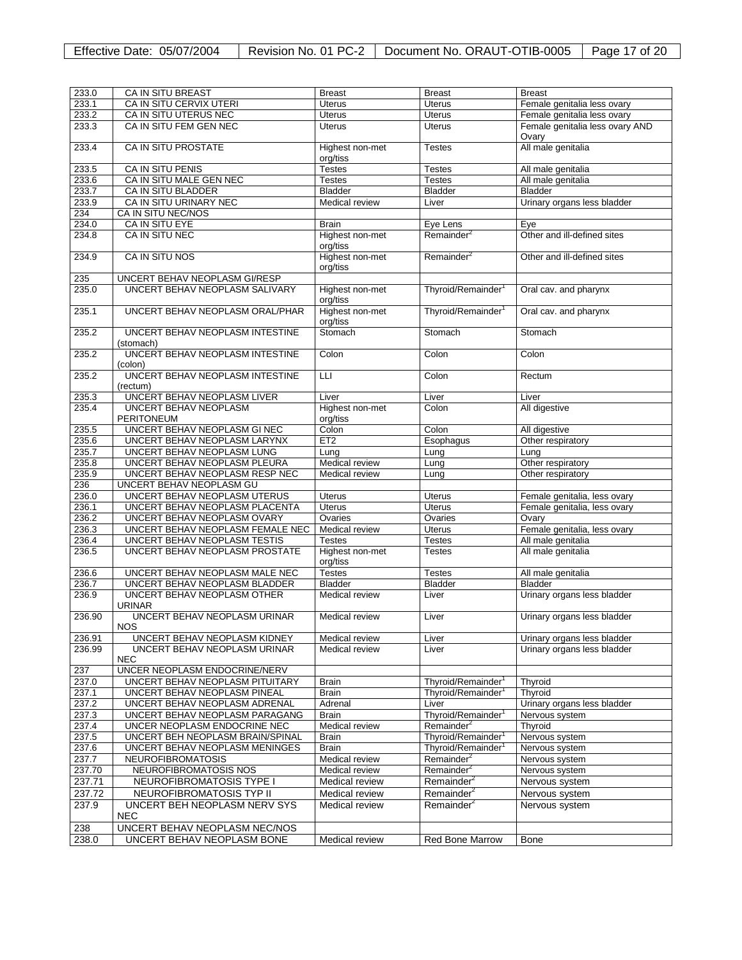| 233.0  | <b>CA IN SITU BREAST</b>                     | <b>Breast</b>               | <b>Breast</b>                      | <b>Breast</b>                      |
|--------|----------------------------------------------|-----------------------------|------------------------------------|------------------------------------|
| 233.1  | CA IN SITU CERVIX UTERI                      | <b>Uterus</b>               | <b>Uterus</b>                      | Female genitalia less ovary        |
| 233.2  | CA IN SITU UTERUS NEC                        | <b>Uterus</b>               | <b>Uterus</b>                      | Female genitalia less ovary        |
| 233.3  | CA IN SITU FEM GEN NEC                       | <b>Uterus</b>               | <b>Uterus</b>                      | Female genitalia less ovary AND    |
| 233.4  | CA IN SITU PROSTATE                          | Highest non-met<br>org/tiss | <b>Testes</b>                      | Ovary<br>All male genitalia        |
| 233.5  | CA IN SITU PENIS                             | <b>Testes</b>               | Testes                             | All male genitalia                 |
| 233.6  | CA IN SITU MALE GEN NEC                      | <b>Testes</b>               | <b>Testes</b>                      | All male genitalia                 |
| 233.7  | CA IN SITU BLADDER                           | <b>Bladder</b>              | <b>Bladder</b>                     | <b>Bladder</b>                     |
| 233.9  | CA IN SITU URINARY NEC                       | Medical review              | Liver                              | Urinary organs less bladder        |
| 234    | CA IN SITU NEC/NOS                           |                             |                                    |                                    |
| 234.0  |                                              |                             |                                    |                                    |
| 234.8  | CA IN SITU EYE<br>CA IN SITU NEC             | Brain                       | Eye Lens<br>Remainder <sup>2</sup> | Eye<br>Other and ill-defined sites |
|        |                                              | Highest non-met<br>org/tiss |                                    |                                    |
| 234.9  | CA IN SITU NOS                               | Highest non-met<br>org/tiss | Remainder <sup>2</sup>             | Other and ill-defined sites        |
| 235    | UNCERT BEHAV NEOPLASM GI/RESP                |                             |                                    |                                    |
| 235.0  | UNCERT BEHAV NEOPLASM SALIVARY               | Highest non-met<br>org/tiss | Thyroid/Remainder <sup>1</sup>     | Oral cav. and pharynx              |
| 235.1  | UNCERT BEHAV NEOPLASM ORAL/PHAR              | Highest non-met<br>org/tiss | Thyroid/Remainder <sup>1</sup>     | Oral cav. and pharynx              |
| 235.2  | UNCERT BEHAV NEOPLASM INTESTINE<br>(stomach) | Stomach                     | Stomach                            | Stomach                            |
| 235.2  | UNCERT BEHAV NEOPLASM INTESTINE<br>(colon)   | Colon                       | Colon                              | Colon                              |
| 235.2  | UNCERT BEHAV NEOPLASM INTESTINE              | LLI                         | Colon                              | Rectum                             |
| 235.3  | (rectum)<br>UNCERT BEHAV NEOPLASM LIVER      | Liver                       | Liver                              | Liver                              |
| 235.4  | UNCERT BEHAV NEOPLASM<br><b>PERITONEUM</b>   | Highest non-met<br>org/tiss | Colon                              | All digestive                      |
| 235.5  | UNCERT BEHAV NEOPLASM GI NEC                 | Colon                       | Colon                              | All digestive                      |
| 235.6  | UNCERT BEHAV NEOPLASM LARYNX                 | ET2                         | Esophagus                          | Other respiratory                  |
| 235.7  | UNCERT BEHAV NEOPLASM LUNG                   | Lung                        | Lung                               | Lung                               |
| 235.8  | UNCERT BEHAV NEOPLASM PLEURA                 | Medical review              | Lung                               | Other respiratory                  |
| 235.9  | UNCERT BEHAV NEOPLASM RESP NEC               | Medical review              | Lung                               | Other respiratory                  |
| 236    | UNCERT BEHAV NEOPLASM GU                     |                             |                                    |                                    |
|        |                                              |                             |                                    |                                    |
| 236.0  | UNCERT BEHAV NEOPLASM UTERUS                 | Uterus                      | Uterus                             | Female genitalia, less ovary       |
| 236.1  | UNCERT BEHAV NEOPLASM PLACENTA               | <b>Uterus</b>               | <b>Uterus</b>                      | Female genitalia, less ovary       |
| 236.2  | UNCERT BEHAV NEOPLASM OVARY                  | Ovaries                     | Ovaries                            | Ovary                              |
| 236.3  | UNCERT BEHAV NEOPLASM FEMALE NEC             | Medical review              | <b>Uterus</b>                      | Female genitalia, less ovary       |
| 236.4  | UNCERT BEHAV NEOPLASM TESTIS                 | <b>Testes</b>               | <b>Testes</b>                      | All male genitalia                 |
| 236.5  | UNCERT BEHAV NEOPLASM PROSTATE               | Highest non-met<br>org/tiss | <b>Testes</b>                      | All male genitalia                 |
| 236.6  | UNCERT BEHAV NEOPLASM MALE NEC               | <b>Testes</b>               | <b>Testes</b>                      | All male genitalia                 |
| 236.7  | UNCERT BEHAV NEOPLASM BLADDER                | <b>Bladder</b>              | Bladder                            | <b>Bladder</b>                     |
| 236.9  | UNCERT BEHAV NEOPLASM OTHER<br><b>URINAR</b> | Medical review              | Liver                              | Urinary organs less bladder        |
| 236.90 | UNCERT BEHAV NEOPLASM URINAR<br><b>NOS</b>   | Medical review              | Liver                              | Urinary organs less bladder        |
| 236.91 | UNCERT BEHAV NEOPLASM KIDNEY                 | Medical review              | Liver                              | Urinary organs less bladder        |
| 236.99 | UNCERT BEHAV NEOPLASM URINAR<br><b>NEC</b>   | Medical review              | Liver                              | Urinary organs less bladder        |
| 237    | UNCER NEOPLASM ENDOCRINE/NERV                |                             |                                    |                                    |
| 237.0  | UNCERT BEHAV NEOPLASM PITUITARY              | Brain                       | Thyroid/Remainder <sup>1</sup>     | Thyroid                            |
| 237.1  | UNCERT BEHAV NEOPLASM PINEAL                 | Brain                       | Thyroid/Remainder <sup>1</sup>     | Thyroid                            |
| 237.2  | UNCERT BEHAV NEOPLASM ADRENAL                | Adrenal                     | Liver                              | Urinary organs less bladder        |
| 237.3  | UNCERT BEHAV NEOPLASM PARAGANG               | Brain                       | Thyroid/Remainder <sup>1</sup>     | Nervous system                     |
| 237.4  | UNCER NEOPLASM ENDOCRINE NEC                 | Medical review              | Remainder <sup>2</sup>             | Thyroid                            |
| 237.5  | UNCERT BEH NEOPLASM BRAIN/SPINAL             | Brain                       | Thyroid/Remainder                  | Nervous system                     |
| 237.6  | UNCERT BEHAV NEOPLASM MENINGES               | <b>Brain</b>                | Thyroid/Remainder <sup>1</sup>     | Nervous system                     |
| 237.7  | <b>NEUROFIBROMATOSIS</b>                     | Medical review              | Remainder <sup>2</sup>             | Nervous system                     |
| 237.70 | NEUROFIBROMATOSIS NOS                        | Medical review              | Remainder <sup>2</sup>             |                                    |
|        |                                              |                             |                                    | Nervous system                     |
| 237.71 | NEUROFIBROMATOSIS TYPE I                     | Medical review              | Remainder <sup>2</sup>             | Nervous system                     |
| 237.72 | NEUROFIBROMATOSIS TYP II                     | Medical review              | Remainder <sup>2</sup>             | Nervous system                     |
| 237.9  | UNCERT BEH NEOPLASM NERV SYS<br><b>NEC</b>   | Medical review              | Remainder <sup>2</sup>             | Nervous system                     |
| 238    | UNCERT BEHAV NEOPLASM NEC/NOS                |                             |                                    |                                    |
| 238.0  | UNCERT BEHAV NEOPLASM BONE                   | Medical review              | Red Bone Marrow                    | Bone                               |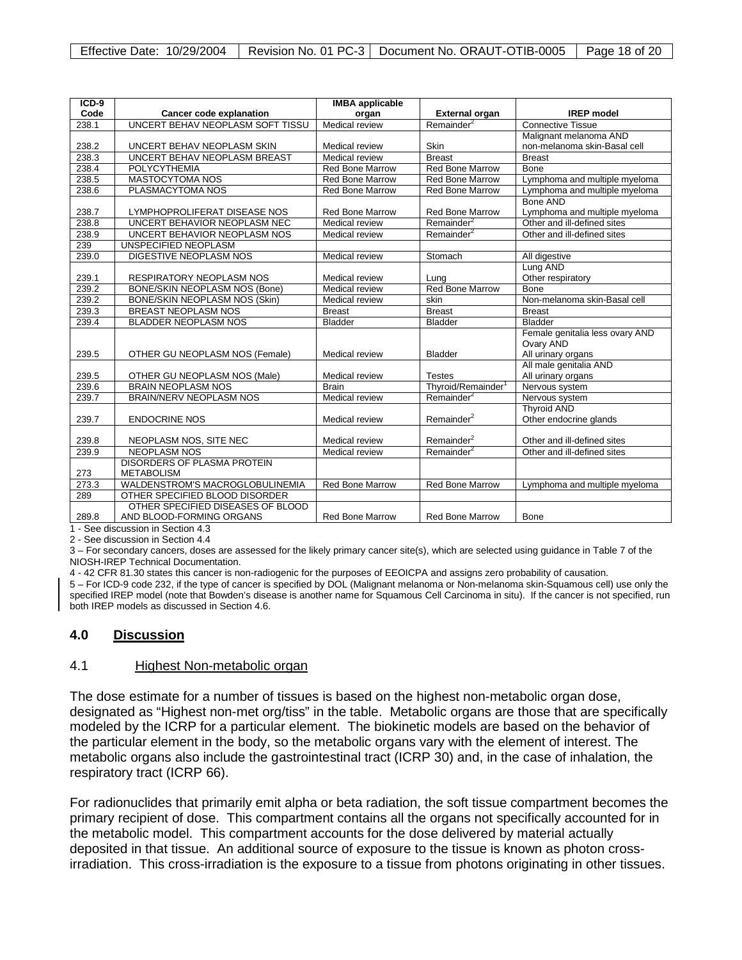| $ICD-9$<br><b>IMBA</b> applicable |                                   |                        |                                |                                 |  |
|-----------------------------------|-----------------------------------|------------------------|--------------------------------|---------------------------------|--|
| Code                              | <b>Cancer code explanation</b>    | organ                  | <b>External organ</b>          | <b>IREP</b> model               |  |
| 238.1                             | UNCERT BEHAV NEOPLASM SOFT TISSU  | Medical review         | Remainder <sup>2</sup>         | <b>Connective Tissue</b>        |  |
|                                   |                                   |                        |                                | Malignant melanoma AND          |  |
| 238.2                             | UNCERT BEHAV NEOPLASM SKIN        | Medical review         | Skin                           | non-melanoma skin-Basal cell    |  |
| 238.3                             | UNCERT BEHAV NEOPLASM BREAST      | Medical review         | <b>Breast</b>                  | <b>Breast</b>                   |  |
| 238.4                             | <b>POLYCYTHEMIA</b>               | <b>Red Bone Marrow</b> | <b>Red Bone Marrow</b>         | Bone                            |  |
| 238.5                             | <b>MASTOCYTOMA NOS</b>            | <b>Red Bone Marrow</b> | <b>Red Bone Marrow</b>         | Lymphoma and multiple myeloma   |  |
| 238.6                             | PLASMACYTOMA NOS                  | <b>Red Bone Marrow</b> | <b>Red Bone Marrow</b>         | Lymphoma and multiple myeloma   |  |
|                                   |                                   |                        |                                | Bone AND                        |  |
| 238.7                             | LYMPHOPROLIFERAT DISEASE NOS      | <b>Red Bone Marrow</b> | <b>Red Bone Marrow</b>         | Lymphoma and multiple myeloma   |  |
| 238.8                             | UNCERT BEHAVIOR NEOPLASM NEC      | Medical review         | Remainder <sup>2</sup>         | Other and ill-defined sites     |  |
| 238.9                             | UNCERT BEHAVIOR NEOPLASM NOS      | Medical review         | Remainder <sup>2</sup>         | Other and ill-defined sites     |  |
| 239                               | UNSPECIFIED NEOPLASM              |                        |                                |                                 |  |
| 239.0                             | DIGESTIVE NEOPLASM NOS            | Medical review         | Stomach                        | All digestive                   |  |
|                                   |                                   |                        |                                | Lung AND                        |  |
| 239.1                             | <b>RESPIRATORY NEOPLASM NOS</b>   | Medical review         | Lung                           | Other respiratory               |  |
| 239.2                             | BONE/SKIN NEOPLASM NOS (Bone)     | Medical review         | <b>Red Bone Marrow</b>         | Bone                            |  |
| 239.2                             | BONE/SKIN NEOPLASM NOS (Skin)     | <b>Medical review</b>  | skin                           | Non-melanoma skin-Basal cell    |  |
| 239.3                             | <b>BREAST NEOPLASM NOS</b>        | <b>Breast</b>          | <b>Breast</b>                  | <b>Breast</b>                   |  |
| 239.4                             | <b>BLADDER NEOPLASM NOS</b>       | <b>Bladder</b>         | <b>Bladder</b>                 | <b>Bladder</b>                  |  |
|                                   |                                   |                        |                                | Female genitalia less ovary AND |  |
|                                   |                                   |                        |                                | Ovary AND                       |  |
| 239.5                             | OTHER GU NEOPLASM NOS (Female)    | Medical review         | <b>Bladder</b>                 | All urinary organs              |  |
|                                   |                                   |                        |                                | All male genitalia AND          |  |
| 239.5                             | OTHER GU NEOPLASM NOS (Male)      | Medical review         | <b>Testes</b>                  | All urinary organs              |  |
| 239.6                             | <b>BRAIN NEOPLASM NOS</b>         | <b>Brain</b>           | Thyroid/Remainder <sup>1</sup> | Nervous system                  |  |
| 239.7                             | BRAIN/NERV NEOPLASM NOS           | Medical review         | Remainder <sup>2</sup>         | Nervous system                  |  |
|                                   |                                   |                        |                                | <b>Thyroid AND</b>              |  |
| 239.7                             | <b>ENDOCRINE NOS</b>              | Medical review         | Remainder <sup>2</sup>         | Other endocrine glands          |  |
|                                   |                                   |                        |                                |                                 |  |
| 239.8                             | NEOPLASM NOS, SITE NEC            | <b>Medical review</b>  | Remainder <sup>2</sup>         | Other and ill-defined sites     |  |
| 239.9                             | <b>NEOPLASM NOS</b>               | Medical review         | Remainder <sup>2</sup>         | Other and ill-defined sites     |  |
|                                   | DISORDERS OF PLASMA PROTEIN       |                        |                                |                                 |  |
| 273                               | <b>METABOLISM</b>                 |                        |                                |                                 |  |
| 273.3                             | WALDENSTROM'S MACROGLOBULINEMIA   | Red Bone Marrow        | <b>Red Bone Marrow</b>         | Lymphoma and multiple myeloma   |  |
| 289                               | OTHER SPECIFIED BLOOD DISORDER    |                        |                                |                                 |  |
|                                   | OTHER SPECIFIED DISEASES OF BLOOD |                        |                                |                                 |  |
| 289.8                             | AND BLOOD-FORMING ORGANS          | <b>Red Bone Marrow</b> | <b>Red Bone Marrow</b>         | <b>Bone</b>                     |  |

1 - See discussion in Section 4.3 2 - See discussion in Section 4.4

3 – For secondary cancers, doses are assessed for the likely primary cancer site(s), which are selected using guidance in Table 7 of the NIOSH-IREP Technical Documentation.

4 - 42 CFR 81.30 states this cancer is non-radiogenic for the purposes of EEOICPA and assigns zero probability of causation.

5 – For ICD-9 code 232, if the type of cancer is specified by DOL (Malignant melanoma or Non-melanoma skin-Squamous cell) use only the specified IREP model (note that Bowden's disease is another name for Squamous Cell Carcinoma in situ). If the cancer is not specified, run both IREP models as discussed in Section 4.6.

# **4.0 Discussion**

#### 4.1 Highest Non-metabolic organ

The dose estimate for a number of tissues is based on the highest non-metabolic organ dose, designated as "Highest non-met org/tiss" in the table. Metabolic organs are those that are specifically modeled by the ICRP for a particular element. The biokinetic models are based on the behavior of the particular element in the body, so the metabolic organs vary with the element of interest. The metabolic organs also include the gastrointestinal tract (ICRP 30) and, in the case of inhalation, the respiratory tract (ICRP 66).

For radionuclides that primarily emit alpha or beta radiation, the soft tissue compartment becomes the primary recipient of dose. This compartment contains all the organs not specifically accounted for in the metabolic model. This compartment accounts for the dose delivered by material actually deposited in that tissue. An additional source of exposure to the tissue is known as photon crossirradiation. This cross-irradiation is the exposure to a tissue from photons originating in other tissues.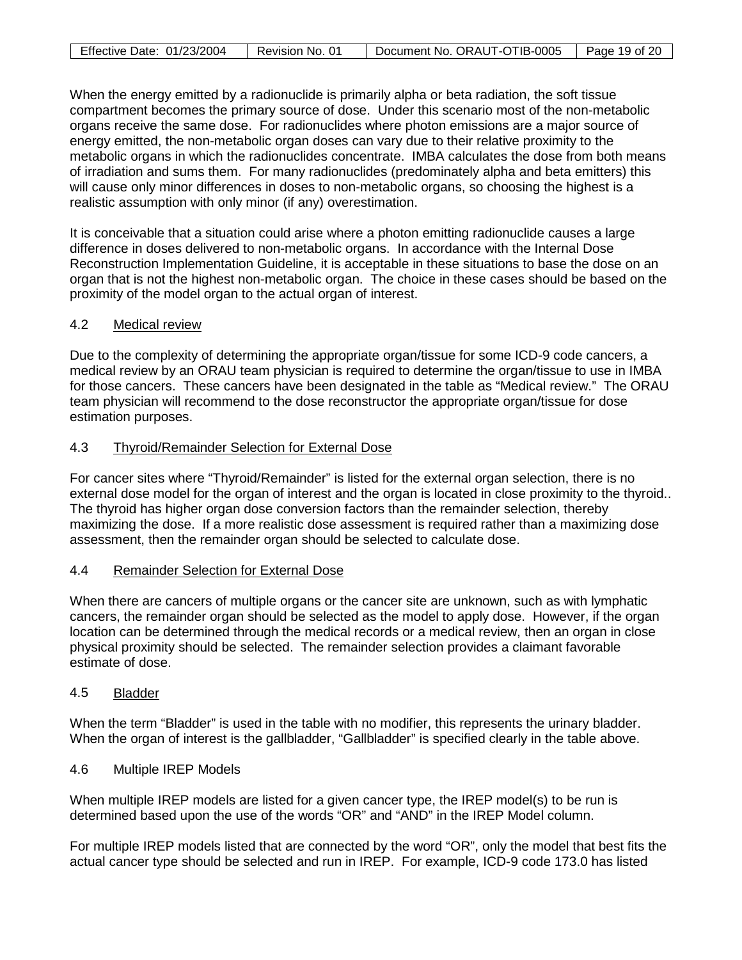| Effective Date: 01/23/2004 | Revision No. | Document No. ORAUT-OTIB-0005 | Page 19 of 20 |
|----------------------------|--------------|------------------------------|---------------|

When the energy emitted by a radionuclide is primarily alpha or beta radiation, the soft tissue compartment becomes the primary source of dose. Under this scenario most of the non-metabolic organs receive the same dose. For radionuclides where photon emissions are a major source of energy emitted, the non-metabolic organ doses can vary due to their relative proximity to the metabolic organs in which the radionuclides concentrate. IMBA calculates the dose from both means of irradiation and sums them. For many radionuclides (predominately alpha and beta emitters) this will cause only minor differences in doses to non-metabolic organs, so choosing the highest is a realistic assumption with only minor (if any) overestimation.

It is conceivable that a situation could arise where a photon emitting radionuclide causes a large difference in doses delivered to non-metabolic organs. In accordance with the Internal Dose Reconstruction Implementation Guideline, it is acceptable in these situations to base the dose on an organ that is not the highest non-metabolic organ. The choice in these cases should be based on the proximity of the model organ to the actual organ of interest.

# 4.2 Medical review

Due to the complexity of determining the appropriate organ/tissue for some ICD-9 code cancers, a medical review by an ORAU team physician is required to determine the organ/tissue to use in IMBA for those cancers. These cancers have been designated in the table as "Medical review." The ORAU team physician will recommend to the dose reconstructor the appropriate organ/tissue for dose estimation purposes.

#### 4.3 Thyroid/Remainder Selection for External Dose

For cancer sites where "Thyroid/Remainder" is listed for the external organ selection, there is no external dose model for the organ of interest and the organ is located in close proximity to the thyroid.. The thyroid has higher organ dose conversion factors than the remainder selection, thereby maximizing the dose. If a more realistic dose assessment is required rather than a maximizing dose assessment, then the remainder organ should be selected to calculate dose.

# 4.4 Remainder Selection for External Dose

When there are cancers of multiple organs or the cancer site are unknown, such as with lymphatic cancers, the remainder organ should be selected as the model to apply dose. However, if the organ location can be determined through the medical records or a medical review, then an organ in close physical proximity should be selected. The remainder selection provides a claimant favorable estimate of dose.

#### 4.5 Bladder

When the term "Bladder" is used in the table with no modifier, this represents the urinary bladder. When the organ of interest is the gallbladder, "Gallbladder" is specified clearly in the table above.

#### 4.6 Multiple IREP Models

When multiple IREP models are listed for a given cancer type, the IREP model(s) to be run is determined based upon the use of the words "OR" and "AND" in the IREP Model column.

For multiple IREP models listed that are connected by the word "OR", only the model that best fits the actual cancer type should be selected and run in IREP. For example, ICD-9 code 173.0 has listed